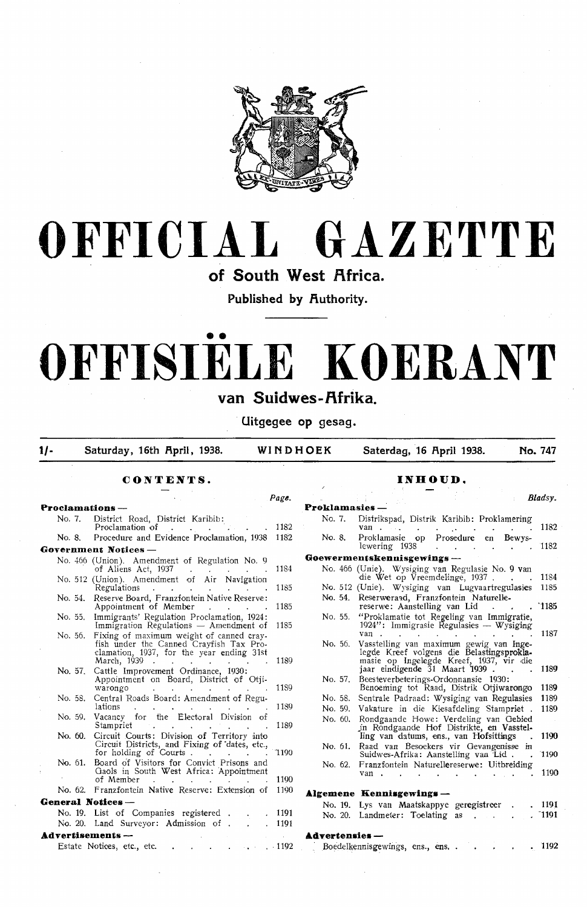

# **OFFICIAL GAZETTE**

of South West Africa.

Published by Authority.

# •• **OFFISIELE KOERANT**

# van Suidwes-Afrika.

· **Uitgegee op gesag.** 

1/- Saturday, 16th April, 1938. WINDHOEK Saterdag, 16 April 1938. No. 747

## **CONTENTS.**

|         |                                                                                                                                                                         | Page. |
|---------|-------------------------------------------------------------------------------------------------------------------------------------------------------------------------|-------|
|         | Proclamations —                                                                                                                                                         |       |
| No. 7.  | District Road, District Karibib:<br>Proclamation of                                                                                                                     | 1182  |
| No. 8.  | Procedure and Evidence Proclamation, 1938                                                                                                                               | 1182  |
|         | Government Notices -                                                                                                                                                    |       |
|         | No. 466 (Union). Amendment of Regulation No. 9<br>of Aliens Act, 1937                                                                                                   | 1184  |
|         | No. 512 (Union). Amendment of Air Navigation<br>Regulations                                                                                                             | 1185  |
| No. 54. | Reserve Board, Franzfontein Native Reserve:<br>Appointment of Member<br>$\mathbf{r}$ and $\mathbf{r}$ and $\mathbf{r}$                                                  | 1185  |
| No. 55. | Immigrants' Regulation Proclamation, 1924:<br>Immigration Regulations $-$ Amendment of                                                                                  | 1185  |
| No. 56. | Fixing of maximum weight of canned cray-<br>fish under the Canned Crayfish Tax Pro-<br>clamation, 1937, for the year ending 31st<br>March, 1939<br>$\sim$               | 1189  |
| No. 57. | Cattle Improvement Ordinance, 1930:<br>Appointment on Board, District of Otii-<br>warongo<br><b>Contract Contract</b>                                                   | 1189  |
| No. 58. | Central Roads Board: Amendment of Regu-<br>lations                                                                                                                      | 1189  |
| No. 59. | Vacancy for the Electoral Division of<br>Stampriet<br>$\mathbf{r} = \mathbf{r} + \mathbf{r}$                                                                            | 1189  |
| No. 60. | Circuit Courts: Division of Territory into<br>Circuit Districts, and Fixing of dates, etc.,<br>for holding of Courts.<br>$\mathbf{r} = \mathbf{r} + \mathbf{r}$         | 1190° |
| No. 61. | Board of Visitors for Convict Prisons and<br>Gaols in South West Africa: Appointment<br>of Member                                                                       | 1190  |
|         | No. 62. Franzfontein Native Reserve: Extension of                                                                                                                       | 1190  |
|         | General Notices -                                                                                                                                                       |       |
|         | No. 19. List of Companies registered.                                                                                                                                   | 1191  |
|         | No. 20. Land Surveyor: Admission of .                                                                                                                                   | 1191  |
|         | Advertisements —                                                                                                                                                        |       |
|         | Estate Notices, etc., etc.<br>$\mathbf{r} = \left\{ \begin{array}{ll} \mathbf{r} & \mathbf{r} & \mathbf{r} \\ \mathbf{r} & \mathbf{r} & \mathbf{r} \end{array} \right.$ | .1192 |

## **INHOUD.**

|                       | Bladsv.                                                                                                               |  |
|-----------------------|-----------------------------------------------------------------------------------------------------------------------|--|
|                       |                                                                                                                       |  |
| Proklamasies          |                                                                                                                       |  |
| No. 7.                | Distrikspad, Distrik Karibib: Proklamering                                                                            |  |
|                       | 1182<br>van                                                                                                           |  |
| No. 8.                | Proklamasie op Prosedure en Bewys-                                                                                    |  |
|                       | lewering 1938<br>1182<br>$\ddot{\phantom{0}}$<br>$\sim$<br>k.                                                         |  |
|                       | Goewermentskennisgewings —                                                                                            |  |
|                       | No. 466 (Unie). Wysiging van Regulasie No. 9 van                                                                      |  |
|                       | die Wet op Vreemdelinge, 1937.<br>1184                                                                                |  |
|                       | No. 512 (Unie). Wysiging van Lugvaartregulasies<br>1185                                                               |  |
|                       | No. 54. Reserweraad, Franzfontein Naturelle-                                                                          |  |
|                       | 1185<br>reserwe: Aanstelling van Lid                                                                                  |  |
| No. 55.               | "Proklamatie tot Regeling van Immigratie,                                                                             |  |
|                       | 1924": Immigrasie Regulasies — Wysiging                                                                               |  |
|                       | 1187<br>van<br>$\mathbf{r} = \mathbf{r} \cdot \mathbf{r}$ .                                                           |  |
| No. 56.               | Vasstelling van maximum gewig van Inge-                                                                               |  |
|                       | legde Kreef volgens die Belastingsprokla-                                                                             |  |
|                       | masie op Ingelegde Kreef, 1937, vir die<br>jaar eindigende 31 Maart 1939 .<br>1189                                    |  |
| No. 57.               | Beesteverbeterings-Ordonnansie 1930:                                                                                  |  |
|                       | Benoeming tot Raad, Distrik Otjiwarongo<br>1189                                                                       |  |
| No. 58.               | Sentrale Padraad: Wysiging van Regulasies<br>1189                                                                     |  |
| No. 59.               | Vakature in die Kiesafdeling Stampriet .<br>1189                                                                      |  |
|                       |                                                                                                                       |  |
| No. 60.               | Rondgaande Howe: Verdeling van Gebied<br>in Rondgaande Hof Distrikte, en Vasstel-                                     |  |
|                       | 1190<br>ling van datums, ens., van Hofsittings                                                                        |  |
|                       | No. 61. Raad van Besoekers vir Gevangenisse in                                                                        |  |
|                       | Suidwes-Afrika: Aanstelling yan Lid.<br>1190<br>$\sim$                                                                |  |
| No. 62.               | Franzfontein Naturellereserwe: Uitbreiding                                                                            |  |
|                       | 1190<br>van.<br>$\mathbf{r}$                                                                                          |  |
|                       |                                                                                                                       |  |
|                       | Algemene Kennisgewings -                                                                                              |  |
|                       | No. 19. Lys van Maatskappye geregistreer<br>. 1191<br>$\ddot{\phantom{0}}$                                            |  |
|                       | $\tilde{ }$ 1191<br>No. 20. Landmeter: Toelating<br><b>as</b><br><b>Carl Carl Corporation</b><br>$\ddot{\phantom{a}}$ |  |
|                       |                                                                                                                       |  |
| <b>Advertensies</b> - |                                                                                                                       |  |
|                       |                                                                                                                       |  |

• 1192

Boedeikennisgewmgs, ens., ens. .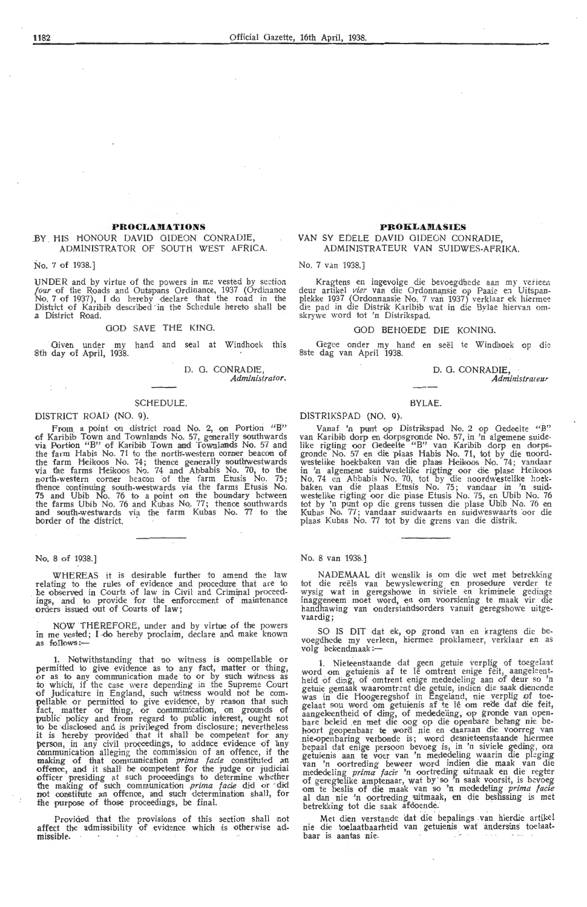#### **PROCLAMATIONS**

#### .BY HIS HONOUR DAVID GIDEON CONRADIE, ADMINISTRATOR Of SOUTH WEST AFRICA.

No. 7 of 1938.]

UNDER and by virtue of the powers in me vested by section *four* of the Roads and Outspans Ordinance, 1937 (Ordinance<br>No. 7 of 1937), I do hereby declare that the road in the District of Karibib described in the Schedule hereto shall be .a District Road.

#### GOD SAVE THE KING.

Given under my hand and seal at Windhoek this 8th day of April, 1938.

> D. G. CONRADIE, *Administrator.*

#### SCHEDULE.

#### DISTRICT ROAD (NO. 9).

From a point on district road No. 2, on Portion "B" of Karibib Town and Townlands No. 57, generally southwards<br>via Portion "B" of Karibib Town and Townlands No. 57 and the farm Habis No. 71 to the north-western comer beacon of the farm Heikoos No. 74; thence generally southwestwards<br>via the farms Heikoos No. 74 and Abbabis No. 70, to the<br>north-western corner beacon of the farm Etusis No. 75; thence continuing south-westwards via the farms Etusis No. 75 and Ubib No. 76 to a point on the boundary between the farms Ubib No. 76 and Kubas No. 77; thence southwards and south-westwards via the farm Kubas No. 77 to the border of the district.

#### No. 8 of 1938.)

WHEREAS it is desirable further to amend the law relating to the rules of evidence and procedure that are to be observed in Courts of law in Civil and Criminal proceedings, and to provide for the enforcement of maintenance orders issued out of Gourts of law;

NOW THEREFORE, under and by virtue of the powers in me yested; I do hereby proclaim, declare and make known as follows :-

1. Notwithstanding that no witness is compellable or permitted to give evidence as to any fact, matter or thing, or as to any oommunication made to or by such witness as to which, if the case were depending in the Supreme Court of Judicature in England, such witness would not be com- pellable or permitted to give evidence, by reason that such fact, matter or thing, or communication, on grounds of public" policy and from regard to public interest, ought not to be disclosed and is privileged from disclosure; nevertheless<br>it is hereby provided that it shall be competent for any !person, in any civil prooeedings, to a•dduce evidence of any communication allegrng the commission of an offence, if the making of that oommunkation . *prima facie.* oonstituted an offence, and it shall' be competent for the judge or judicial officer presiding at such proceedings to determine whether<br>the making of such communication *prima facie* did or did not constitute an offence, and such determination shall, for ±he purpose of those proceedings, be final.

Provided that the provisions of this section shall not affect the admissibility of evidence which is otherwise admissible.

#### **PROKLAMASIES**

#### VAN SY EDELE DAVID GIDEON CONRADIE, ADMINISTRATEUR VAN SUIDWES-AFRIKA.

No. 7 van 1938.)

Kragtens en ingevolge die bevoegdhede aan my verieen deur artikel *vier* van die Ordonnansie op Paaie en Uitspanplekke 1937 (Ordonnansie No. 7 van 1937) verklaar ek hiermee die pad in die Distrik Karibib wat in die Bylae hiervan om-<br>skrywe word tot 'n Distrikspad.

#### 000 BEHOEDE DIE KONING.

Gegee onder my hand en seël te Windhoek op die 8ste dag van April 1938.

#### D. G. CONRADIE, *Administrazear*

#### BYLAE.

#### DISTRIKSPAD (NO. 9).

Vanaf 'n punt op Distrikspad No. 2 op Gedeelte "B" van Karibib dorp en dorpsgronde No. 57, in 'n algemene suidelike rigting oor Gedeelte "B" van Karibib dorp en dorpsgronde No. 57 en die plaas Habis No. 71, tot by die noordwestelike hoekbaken van die plaas Heikoos No. 74; vandaar in 'n algemene suidwestelike rigting oor die plase Heikoos<br>No. 74 en Abbabis No. 70, tot by die noordwestelike hoek-<br>baken van die plaas Etusis No. 75; vandaar in 'n suid-<br>westelike rigting oor die plase Etusis No. 75, en tot by 'n punt op die grens tussen die plase Ubib No. 76 en<br>Kubas No. 77; vandaar suidwaarts en suidweswaarts oor die plaas Kubas No. 77 tot by die grens van die distrik.

No. 8 van 1938.]

NADEMAAL dit wenslik is om die wet met betrekking tot die reels van bewyslewering en prosedure verder te wysig wat in geregshowe in siviele en kriminele gedinge inaggeneem moet word, en om voorsiening te maak vir die<br>handhawing van onderstandsorders vanuit geregshowe uitge-<br>vaardig;

SO IS DIT dat ek, op grond van en kragtens die bevoegdhede my verleen, hiermee proklameer, verklaar en as<br>volg bekendmaak:—

1. Nieteenstaande dat geen getuie verplig of toegelaat word om getuienis af te lễ omtrent enige feit, aangeleent-<br>heid of ding, of omtrent enige mededeling aan of deur so 'n getuie gemaak waaromtrent die getuie, indien die saak dienende<br>was in die Hoogeregshof in Engeland, nie verplig of toegelaat sou word om getuienis af te lê om rede dat die feit,<br>aangeleentheid of ding, of mededeling, op gronde van open-<br>bare beleid en met die oog op die openbare belang nie behoort geopenbaar te word nie en daaraan die voorreg van nie-openbaring verbonde is; word desnieteenstaande hiermee bepaal dat enige persoon bevoeg is, in 'n siviele geding, om getuienis aan te voer van 'n mededeling waarin die pleging<br>van 'n oortreding beweer word indien die maak van die<br>mededeling *prima facie* 'n oortreding uitmaak en die regter<br>of geregtelike amptenaar, wat by so 'n saak voor al dan nie 'n oortreding uitmaak, en die bestissing is met betrekking tot die saak afdoende.

Met dien verstande dat die bepalings van hierdie artikel nie die toelaatbaarheid van getuienis wat andersins toelaatbaar is aantas nie.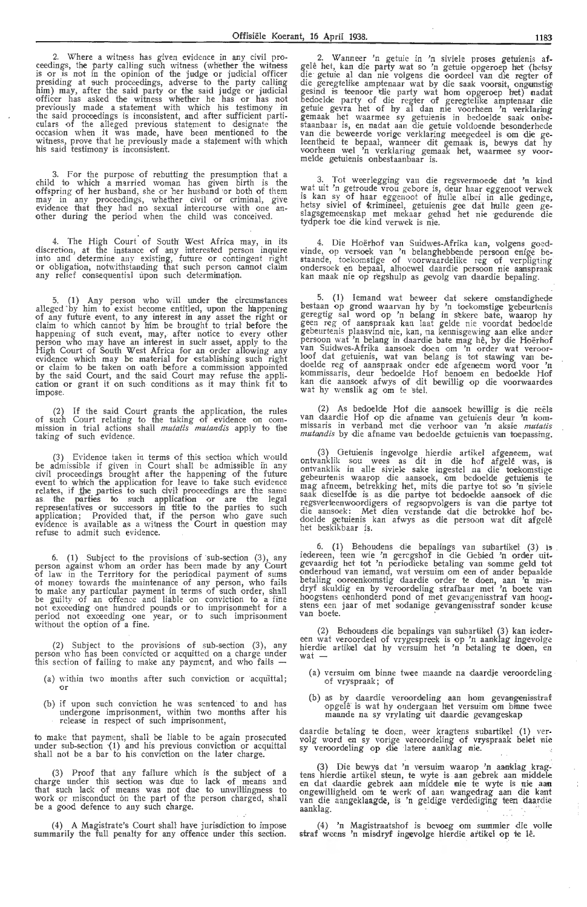2. Where a witness has given evidence in any civil proceedings, the party calling such witness (whether the witness<br>is or is not in the opinion of the judge or judicial officer<br>presiding at such proceedings, adverse to the party calling him) may, after the said party or the said judge or judicial officer has asked the witness whether he has or has not previously made a-statement with which his testimony in the said proceedings is inconsistent, and after sufficient parti-culars of the alleged previous statement to designate the occasion when it was made, have been mentioned to the witness, prove that he previously made a statement with which his said testimony is inconsistent.

3. For the purpose of rebutting the presumption that a child to which a married woman has given birth is the offspring of her husband, she or her husband or both of them may in any proceedings, whether civil or criminal, give evidence that they had no sexual intercourse with one an-<br>other during the period when the child was conceived.

The High Court of South West Africa may, in its discretion, at the instance of any interested person inquire into and determine any existing, future or contingent right<br>or obligation, notwithstanding that such person cannot claim any relief consequential upon such determination.

5. (1) Any person who will under the circumstances alleged ' by him to exist become entitled, upon the h'appening of any futur'e event, to any interest *in* any asset the right or claim to which cannot by h'im be brought to trial before the happening of such event, may, after notice to every other person who may have an interest in such' asset, apply to the<br>High Court of South West Africa for an order allowing any evidence which may be material for establishing such right<br>or claim to be taken on oath before a commission appointed by the said Court, and the said Court may refuse the appli-cation or grant it on such conditions as it may think fit to impose.

(2) If the said Court grants the application, the rules of such Court relating to the taking of evidence on com- missi:on in trial actions shall *mutatis mutandis* apply to the taking of such evidence.

(3) Evidence taken in terms of this section which would be admissible if given in Court shall be admissible ih any civil proceedings brought after the happening of the future event to which the application for leave to take such evidence relates, if <u>t</u>he parties to such civil proceedings are the same<br>as. the parties to such application or are the legal representatives or successors in title to the parties to such application; Provided that, if the person who gave such evidence is available as a witness the Court in question may refuse to admit such evidence.

6. (1) Subject to the provisions of ·sub-section (3), any person against whom an order has been made by any Court of law in the Te rritory for the periodical payment of sums of money towards the maintenance of any person, who fails to make any particular payment in terms of such order, shall be guilty of an offence and liable on conviction to a fine not ~xceeding one hundred p0unds or to imprisonmeht for a period not exceeding one year, or *to* such imprisonment without the option of a fine.

(2) Subject to the provisions of sub-section (3), any person who has been convicted or acquitted on a charge under this section of failing to make any payment, and who fails -

- (a) within two inonths after such conviction or acquittal: or
- (b) if upon such conviction he was sentenced to and has undergone imprisonment, within two months after his release in respect of such imprisonment,

to make that payment, shall be liable to be again prosecuted under sub-section '(1) and his previous conviction or acquittal shall not be a bar to his conviction on the later charge.

(3) Proof that any failure which is the subject of a charge under this section was due to lack of means and that such lack of means was not due to unwillingness *to*  work or misconduct on the part of the person charged, shall be a good defence to any such charge.

(4) A Magistrate's Court shall have jurisdiction to impose summarily the full penalty for any offence under this section.

2. Wanneer 'n getuie in 'n siviele proses getuienis afgelê het, kan die party wat so 'n getuie opgeroep het (hetsy die getuie al dan nie volgens die oordeel van die regter of die geregtelik,e amptenaar wat by die saak voorsit, ongunstig gesind is teenoor die party wat hom opgeroep het) nadat<br>bedoelde party of die regter of geregtelike amptenaar die getuie gevra het of hy al dan nie voorheen 'n verklaring gemaak het waarmee sy getuienis in bedoelde saak onbestaanbaar is, en nadat aan die getuie voldoende besonderhede<br>van die beweerde vorige verklaring meegedeel is om die geleentheid te bepaal, wanneer dit gemaak is, bewys dat hy voorheen we! 'n verklaring gemaak het, waarmee sy voor- melde getuienis onbestaanbaar is.

3. Tot wee rlegging van die regsvermoede dat 'n kind wat uit 'n getroude vrou gebore is, deur haar eggenoot verwek is kan sy of haar eggenoot of hulle albei in alle gedinge, hetsy siviel of krimineel, getuienis gee dat hulle geen geslagsgemeenskap met mekaar gehad het nie gedurende die tydperk t,oe die kind verwek is nie.

4. Die Hoërhof van Suidwes-Afrika kan, volgens goedvinde, op versoek van 'n belanghebbende persoon enige be-<br>staande, toekomstige of voorwaardelike reg of verpligting<br>ondersoek en bepaal, alhoewel daardie persoon nie aanspraak kan maak nie op regshulp as gevolg van daardie bepaling.

5. (1) Iemand wat beweer dat sekere omstandighede bestaan op grond waarvan hy by 'n toekomstige gebeurtenis geregtig sal word op 'n belang in sekere bate, waarop hy geen reg of aanspraak kan laat gelde nie voordat bedoelde gebeurtenis plaasvmd nie, kan, na kennisgewing aan elke ander persoon wat 'n belang in daardie bate mag hê, by die Hoërhof<br>van Suidwes-Afrika aansoek doen om 'n order wat veroor-<br>loof dat getuienis, wat van belang is tot stawing van bedoelde reg of aanspraak onder ede afgeneem word voor 'n kommissaris, deur bedoelde Hof benoem en bedoelde Hof kan die aansoek afwys of dit bewillig op die voorwaardes wat hy wenslik ag om te stel.

(2) As bedoelde Hof die aansoek bewillig is die reëls van daardie Hof op die afname van getuienis deur 'n kommissaris in verband met die verhoor van 'n aksie *mutatis mutandis* by die afname van bedoelde getuienis van toepassing.

(3) Getuienis ingevolge hierdie artikel afgeneem, wat ontvanklik sou wees as dit in die hof afgele was, is ontvanklik in alle siviele sake ingestel na die toekomstige gebeurtenis waarop die aansoek, om bedoelde getuienis te mag afneem, betrekking het, mits die partye tot so 'n siviele saak dieselfde is as die partye tot bedoelde aansoek of die<br>regsverteenwoordigers of regsopvolgers is van die partye tot die aansoek: Met dien verstande dat die betrokke hof bedoelde getuienis kan afwys as die persoon wat dit afgelê het beskikbaar is.

6. (1) Behoudens die bepalings van subartikel (3) is iedereen, teen wie 'n geregshof in die Gebied 'n order uit-<br>gevaardig het tot 'n periodieke betaling van somme geld tot onderhoud van iemand, wat versuim om een of ander bepaalde betaling ooreenkomstig daardie order te doen, aan 'n misdryf skuldig en by veroordeling strafbaar met 'n boete van<br>hoogstens eenhonderd pond of met gevangenisstraf van hoogstens een jaar of met sodanige gevangenisstraf sonder keuse van boete.

(2) Behoudens die bepalings van subartikel (3) kan ieder- een wat veroordeel of vrygespreek is op 'n aanklag ingevolgc hierdie artikel dat hy versuim het 'n betaling te doen, en<br>wat --

- (a) versuim om binne twee maande na daardie veroordeling of vryspraak; of
- (b) as by daardie veroordeling aan hom gevangenisstraf opgelê is wat hy ondergaan het versuim om binne twee maande na sy vrylating uit daardie gevangeskap

daardie betaling te doen, weer kragtens subartikel (1) ver- volg word en sy vorige veroordeling of vryspraak belet nie sy veroordeling op die latere aanklag nie.

(3) Die bewys dat 'n versuim waarop 'n aanklag kragtens hierdie artikel steun, te wyte is aan gebrek aan middele<br>en dat daardie gebrek aan middele nie te wyte is nie aan<br>ongewilligheid om te werk of aan wangedrag aan die kant<br>van die aangeklaagde, is 'n geldige verdediging aanklag.

 $\frac{1}{2}$ 

 $\frac{1}{2}$ 

(4) 'n Magistraatshof *is* bevoeg om summier die voile straf weens 'n misdryf ingevolge hierdie artikel op te lê.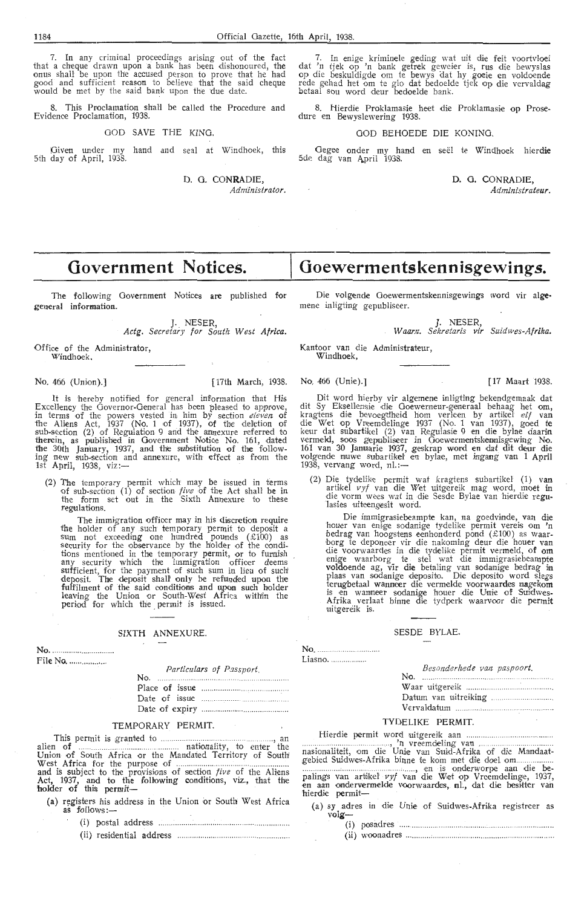7. In any criminal proceedings arising out of the fact that a cheque drawn upon a bank has been dishonoured, the onus shall be upon the accused person to prove that he had good and sufficient reason to believe that the said cheque would be met by the said bank upon the due date.

8. This Proclamation shall be called the Procedure and Evidence Proclamation, 1938.

GOD SAVE THE KING.

Oiven under my hand and seal at Windhoek, this 5th day of April, 1938.

D. 0. CONRADIE,

*Administrator.* 

 $\sim$ 

7. In enige kriminele geding wat uit die feit voortvloei dat 'n tjek op 'n bank getrek geweier is, rus die bewyslas op die beskuldigde om *te* bewys a.at hy .goeie en voldoende rede gehad het om te glo dat bedoelde tjek op die vervaldag betaal sou word deur bedoelde bank.

8. Hierdie Proklamasie heet die Proklamasie op Prosedure en Bewyslewering 1938.

#### GOD BEHOEDE DIE KONING.

Gegee onder my hand en seël te Windhoek hier**die**<br>5de dag van April 1938.

D. G. CONRADIE, *Administrateur~* 

# **Government Notices.**

The following Government Notices are published for general information.

J. NESER,

*Actg. Secretary for South West Africa.* 

Office of the Administrator, Windhoek.

#### No. 466 (Union).) [17th March, 1938. No. 466 (Unie).) [ 17 Maart 1938.

It is hereby notified for general information that His Excellency the Governor-Oeneral has been pleased to approve, in terms of the powers vested in him by section *eleven* of the Aliens Act, 1937 (No. 1 of 1937), of the deletion of  $sub-section (2) of Regulation 9 and the amexure referred to$ therein, as published in Government Notioe No. 161, dated the 30th January, 1937, and the substitution of the follow-<br>ing new sub-section and annexure, with effect as from the 1st April, 1938, viz:-

(2) The temporary permit which may be issued in terms of sub-section  $(1)$  of section *five* of the Act shall be in the form set out in the Sixth Annexure to these regulations.

The immigration officer may in his discretion require<br>the holder of any such temporary permit to deposit a<br>sum not exceeding one hundred pounds ( $\text{\pounds}100$ ) as<br>security for the observance by the holder of the conditions mentioned in the temporary permit, or to furnish any security which the immigration officer deems<br>sufficient, for the payment of such sum in lieu of such<br>deposit. The deposit shall only be refunded upon the fulfilment of the said conditions and upon such holder leaving the Union or South-West Africa within the period for which the permit is issued.

#### SIXTH ANNEXURE.

No....

File No .................. . *Particulars of Passport.* No.

| $\mu$ at because $\sigma$ $\sigma$ $\mu$ as $\sigma$ |
|------------------------------------------------------|
|                                                      |
|                                                      |
|                                                      |

#### TEMPORARY PERMIT.

This permit is granted to .................... . .......... . .... . , an alien of .................. ...... nationality, to enter the Union of South Africa or the Mandated Territory of South West Africa for the purpose of ....................... ............................. . and is subject to the provisi,ons of section *five* of the Aliens Act, 1937, and to the following conditions, viz., that the<br>holder of this permit—

- (a) registers his address in the Union or South West Africa **as** follows:-
	- ( i) postal address ................ : .. .......................................... .
	- (ii) residential address ........................... ........................ .

Die volgende Ooewermentskennisgewings word vir alge• mene inligting gepubliseer.

**Goewermentskennisgewings.** 

J. NESER, *W aam. Sekretaris vir Suidwes-Afrika.* 

Kantoor van die Administrateur, Windhoek,

Dit word hierby vir algemene inligting bekendgemaak dat dit Sy Eksellensie die Goewerneur-generaal behaag het om, kragtens die bevoegdheid hom verleen by artikel *elf v*an die Wet op Vreemdelinge 1937 (No. 1 van 1937), goed te keur dat subartikel (2) van Regulasie 9 en die bylae daarin<br>vermeld, soos gepubliseer in Ooewermentskennisgewing No. 161 van 30 Januarie 1937, geskrap word en dat dit deur die volgende n11.1we su:bartikel· e:n bylae, met ingang van 1 April 1938, vervang word,  $nl$ .:-

(2) Die tydelike permit wat kragtens subartikel (1) v**an** artikel *vyf* van die Wet uitgereik mag word, moet in die vorm wees wat in die Sesde Bylae van hierdie regu-'Jasies uiteengesit word.

Die immigrasiebeampte kan, na goedvinde, van die houer van enige sodanige tydelike permit vereis om 'n bedrag van hoogstens eenhonderd pond (£100) as waar-<br>borg te deponeer vir die nakoming deur die houer van<br>die voorwaardes in die tydelike permit vermeld, of om<br>enige waarborg te stel wat die immigrasiebeampte voldoende ag, vir die betaling van sodanige bedrag in plaas van sodanige deposito. Die deposito word slegs terugbetaal wanneer die vermelde voorwaardes nagekom is en wanneer sodanige houer die Unie of Suidwes-Afrika verlaat binne die tydperk waarvoor die permit uitgereik is.

#### SESDE BYLAE.

No. .... Liasno.

*Besonderhede van paspoort.* 

No. Waar uitgereik ..... Datum van uitreiking . Vervaldatum ........... ,

#### TYDELIKE PERMIT.

Hierdi,e permit word uitgereiik aan ..... ..... . ...... ..... , 'n vreemdeling van ... .. nasi-onali-teit, om die Utni,e va11 Sutd-Afri:ka of die Mandaatgebied Suidwes-Afrika binn,e te koin met di1e doel om.. . .... ............................. . .. , .... .. , -en is onderworpe aaJn die be-

palings van artikel *vyf* van die Wet op Vreemdelinge, 1937, en aan ondervermelde voorwaardes, nl., dat die besitter van<br>hierdie permit-

(a) sy adres in die Unie of Suidwes-Afrika registreer as **volg-**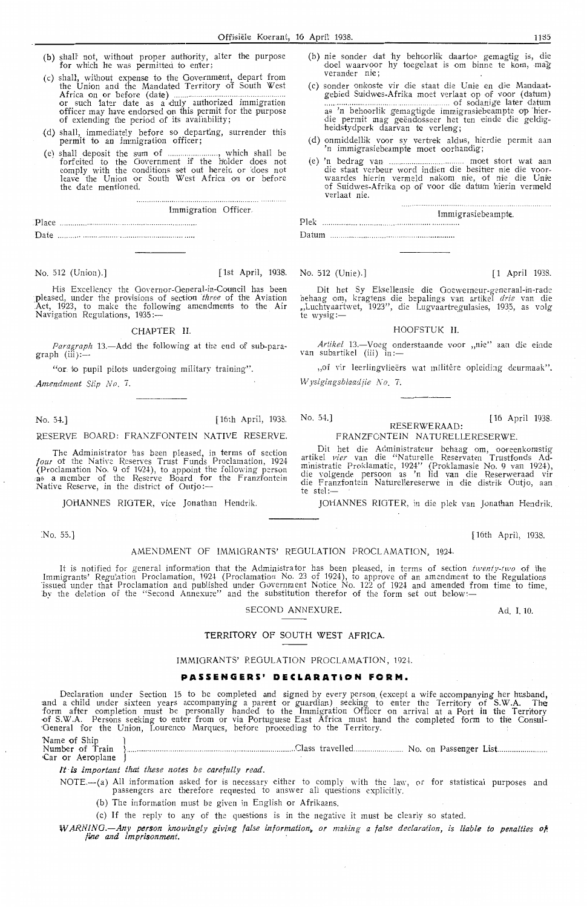- (b) shall' not, without proper authority, alter the purpose for which he was permitted to enter;
- (c) shall, without expense to the Government, depart from the Union and the Mandated Territory o'f South West Africa on or before (date) ............................................ . or such 1ater date as a dufy authorized immigration officer may have endorsed on this permit for the purpose of extending the period of its availability;
- (d) shall, immediately before so departing, surrender this permit to an immigration officer;
- (e) shall deposit the sum of ......................, which shall be forfeited to the Government if the holder does not comply with the conditions set out herein or does not<br>leave the Union or South West Africa on or before the date mentioned.

. . . . . . . . . Immigration Officer.

Place .................................................. .. Date ........................ .. .. .. ... .. .... .. .. .......... .. ........ .

No. 512 (Union).] [1st April, 1938. No. 512 (Unie).] [1 April 1938. [1 April 1938.

...........................

His Excellency the Governor-General-in-Council has been pleased, under the provisions of section *three* of the Aviation Act, 1923, to make the following amendments to the Air Navigation Regulations, 1935.

#### CHAPTER II.

*Paragraph* 13.-Add the following at the end of sub-paragraph (iii):--

"or to pupil pilots undergoing military training".

*. Amendment Slip No* 7.

No. 54.] [16th April, 1938.

#### RESERVE BOARD: FRANZFONTEIN NATIVE RESERVE.

The Administrator has been pleased, in terms of section *four* of the Native Reserves Trust Funds Proclamation, 1924 (Proclamation No. 9 of 1924), to appoint the following person as a member of the Reserve Board for the Franzfontein Native Reserve, in the district of Outjo:-

JOHANNES RIOTER, vice Jonathan Hendrik.

No. 55.]

## (b) nie sonder dat hy behoorlik daartoe gemagtig is, die doel waarvoor hy toegelaat is om binne te kom, mag verander nie;

(c) sonder onkoste vir die staat die Unie en die Mandaat-<br>gebied Suidwes-Afrika moet verlaat op of voor (datum) moet van die suidwesteld moet van die voor datum as 'n behoorlik gemagtigde immigrasiebeampte op hier- die permit mag geendosseer het ten einde die geldigheidstydperk daarvan te verleng;

- (d) onmiddellik voor sy vertrek aldus, hierdie permit aan 'n immigrasiebeampte moet oorhandig;
- (e) 'n bedrag van **Entreprendikse van die staat verbeur** word indien die besitter nie die voorwaardes hierin vermeld nakom nie, of nie die Unie of Suidwes-Afrika op of voor die datum hierin vermeld verlaat nie.

Plek Datum Immigrasiebeampte.

Dit het Sy Eksel!,ensie die Goewemeur-generaal-i:n-rade behaag om, kragtens di,e bepalings van artikel *drie* van die "Luchtvaartwet, 1923'', die Lugvaartregulasies, 1935, as volg<br>te wysig:—

#### HOOFSTUK II.

*Artikel* 13.-Voeg onderstaande voor "nie" aan die einde van subartikel (iii) in:-

,, of vir leerlingvlieërs wat militêre opleiding deurmaak". *Wysigingsblaadjie No. 7.* 

No. 54.)

[ 16 April 1938.

#### RESERWERAAD: FRANZFONTEJN NATURELLERESERWE.

Dit het die Administrateur behaag om, ooreenkomstig artikel *vier* van die "Naturelle Reservaten Trustfonds Ad-<br>ministratie Proklamatie, 1924'' (Proklamasie No. 9 van 1924), die volgende persoon as 'n lid **van** die Reserweraad vir die Franzfontein Naturellereserwe in die distrik Outjo, aan<br>te stel :—

JOHANNES RIGTER, in die plek van Jonathan Hendrik.

[ 16th April, 1938.

Ad. I. 10.

#### AMENDMENT OF IMMIGRANTS' REGULATION PROCLAMATION, 1924.

It is notified for general information that the Administrator has been pleased, in terms of section *twenty-two* of the Immigrants' Regulation Proclamation, 1924 (Proclamation No. 23 of 1924), to approve of an amendment to the Regulations<br>issued under that Proclamation and published under Government Notice No. 122 of 1924 and amended from t by the deletion of the "Second Annexure" and the substitution therefor of the form set out below :-

#### SECOND ANNEXURE.

#### TERRITORY OF SOUTH WEST AFRICA.

#### IMMIGRANTS' REGULATION PROCLAMATION, 1924.

#### **PASSENGERS' DECLARATION FORM.**

Declaration under Section 15 to be completed and signed by every person (except a wife accompanying her husband, and a child under sixteen years accompanying a parent or guardian) seeking to enter the Territory of S.W.A. The form after completion must be personally handed *to* the. Immigration Officer on arrival at a Port in the Territory -0f S.W.A. Persons seeking to enter from or via Portuguese East Africa must hand the completed form to the Consul- ·General for the Union, Lourenco Marques, before proceeding to the Territory.

Name of Ship 1 Numb'.:!r of Train } .................................... .. .. .. ..... , ...... ............ .. .. .... Class travelled. ............. .. No. on Passenger LisL .......... .... ...... . Car or Aeroplane J

*rt* is *important that these notes be carefully read.* 

NOTE.-(a) All information asked for is necessary either to comply with the law, or for statistical purposes and passengers are therefore requested to answer all questions explicitly.

(b) The information must be given in English or Afrikaans.

(c) If the reply to any of *the* questions is in the negative it must be clearly so stated.

*WARNING.—Any person knowingly giving false information, or making a false declaration, is liable to penalties of*<br>*ine and imprisonment*.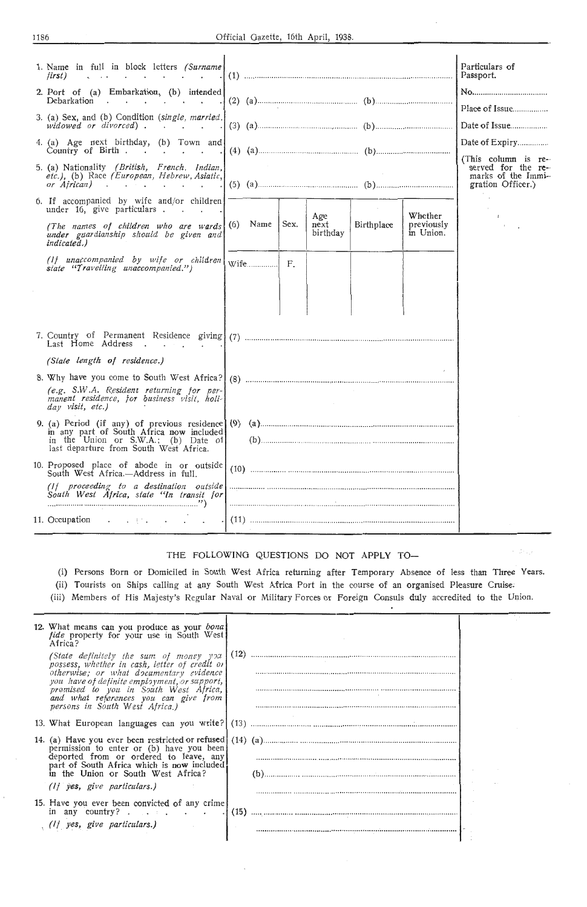| 1. Name in full in block letters (Surname)<br>f <b>irst</b> )<br>$\sim$ $\sim$ $\sim$ $\sim$ $\sim$ $\sim$ $\sim$<br>2. Port of (a) Embarkation, (b) intended<br>Debarkation<br>3. (a) Sex, and (b) Condition (single, married.<br>widowed or divorced).<br>4. (a) Age next birthday, (b) Town and<br>Country of Birth<br>5. (a) Nationality (British, French. Indian,<br>etc.), (b) Race (European, Hebrew, Asiatic,<br>or African) | (2) (a) $(2)$ (a) $(3)$<br>(5) (a) $(2)$ (a) $(3)$ (a) $(4)$ (a) $(5)$ (a) $(6)$ (b) $(6)$ (a) $(7)$ (b) $(8)$ (a) $(9)$ (a) $(9)$ (a) $(9)$ (b) $(10)$ (c) $(10)$ (c) $(10)$ (c) $(10)$ (c) $(10)$ (c) $(10)$ (c) $(10)$ (c) $(10)$ (c) $(10)$ (c) $(10$ | Particulars of<br>Passport.<br>Place of Issue<br>Date of Issue<br>Date of Expiry<br>(This column is re-<br>served for the re-<br>marks of the Immi-<br>gration Officer.) |
|--------------------------------------------------------------------------------------------------------------------------------------------------------------------------------------------------------------------------------------------------------------------------------------------------------------------------------------------------------------------------------------------------------------------------------------|-----------------------------------------------------------------------------------------------------------------------------------------------------------------------------------------------------------------------------------------------------------|--------------------------------------------------------------------------------------------------------------------------------------------------------------------------|
| 6. If accompanied by wife and/or children<br>under 16, give particulars.<br>(The names of children who are wards $(6)$ Name<br>under guardianship should be given and<br><i>indicated.</i> )                                                                                                                                                                                                                                         | Age<br>Whether<br>Sex.<br>Birthplace<br>next<br>previously<br>birthday<br>in Union.                                                                                                                                                                       |                                                                                                                                                                          |
| (If unaccompanied by wife or children<br>state "Travelling unaccompanied.")                                                                                                                                                                                                                                                                                                                                                          | $W$ ife<br>F.                                                                                                                                                                                                                                             |                                                                                                                                                                          |
| Last Home Address                                                                                                                                                                                                                                                                                                                                                                                                                    |                                                                                                                                                                                                                                                           |                                                                                                                                                                          |
| (State length of residence.)<br>8. Why have you come to South West Africa?<br>(e.g. S.W.A. Resident returning for per-<br>manent residence, for business visit, holi-<br>day visit, etc.)                                                                                                                                                                                                                                            |                                                                                                                                                                                                                                                           |                                                                                                                                                                          |
| in any part of South Africa now included<br>in the Union or S.W.A.; (b) Date of last departure from South West Africa.                                                                                                                                                                                                                                                                                                               |                                                                                                                                                                                                                                                           |                                                                                                                                                                          |
| 10. Proposed place of abode in or outside<br>South West Africa.—Address in full.<br>(If proceeding to a destination outside)<br>South West Africa, state "In transit for                                                                                                                                                                                                                                                             |                                                                                                                                                                                                                                                           |                                                                                                                                                                          |
| 11. Occupation                                                                                                                                                                                                                                                                                                                                                                                                                       |                                                                                                                                                                                                                                                           |                                                                                                                                                                          |

## THE FOLLOWING QUESTIONS DO NOT APPLY TO-

(i) Persons Born or Domiciled in South West Africa returning after Temporary Absence of less than Three Years.

 $\sim 10^{11}$ 

(ii) Tourists on Ships calling at any South West Africa Port in the oourse of an organised Pleasure Cruise;

(iii) Members of His Majesty's Regular Naval or Military Forces or Foreign Consuls duly accredited to the Union.

| 12. What means can you produce as your bonal<br>fide property for your use in South West<br>Africa?                                                              |      |  |  |
|------------------------------------------------------------------------------------------------------------------------------------------------------------------|------|--|--|
| (State definitely the sum of money you<br>possess, whether in cash, letter of credit or<br>otherwise; or what documentary evidence                               | (12) |  |  |
| you have of definite employment, or support,<br>promised to you in South West Africa,<br>and what references you can give from<br>persons in South West Africa.) |      |  |  |
| 13. What European languages can you write? (13)                                                                                                                  |      |  |  |
| permission to enter or (b) have you been                                                                                                                         |      |  |  |
| deported from or ordered to leave, any<br>part of South Africa which is now included<br>in the Union or South West Africa?                                       |      |  |  |
| $(1)$ ves, give particulars.)                                                                                                                                    |      |  |  |
| 15. Have you ever been convicted of any crime                                                                                                                    |      |  |  |
| in any country? $\cdots$ $\cdots$                                                                                                                                |      |  |  |
| $(1)$ yes, give particulars.)                                                                                                                                    |      |  |  |
|                                                                                                                                                                  |      |  |  |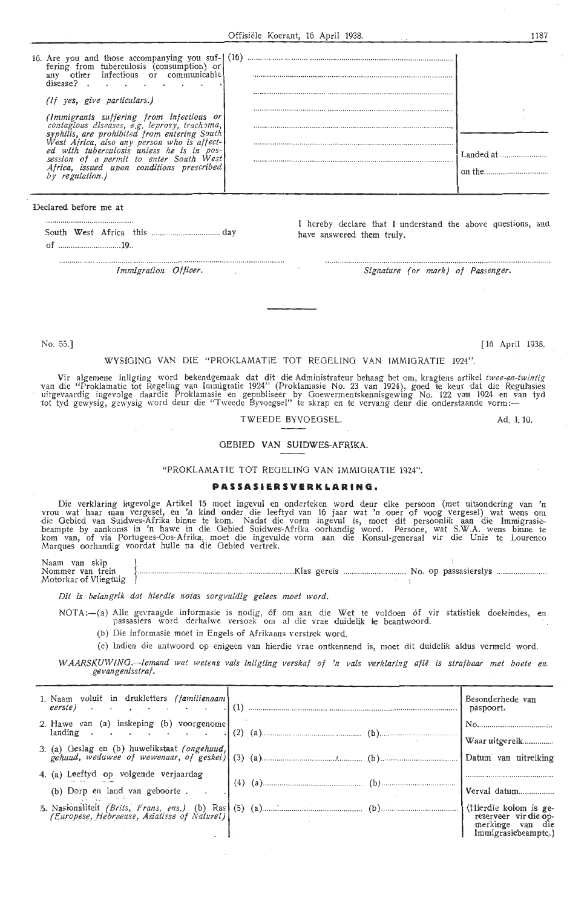| 16. Are you and those accompanying you sui-1 (16)<br>fering from tuberculosis (consumption<br>other<br>infectious<br>communicable<br>or<br>isease' |  |
|----------------------------------------------------------------------------------------------------------------------------------------------------|--|
| yes, give particulars.)                                                                                                                            |  |
| (Immigrants suffering from infectious or<br>contagious diseases, e.g. leprosy, trachoma,<br>hilis, are prohibited from entering South              |  |
| est Africa, also any person who is affect-<br>tuberculosis<br>pos·<br>enter South<br>of a permit to<br>issued upon conditions prescribed           |  |
|                                                                                                                                                    |  |

Declared before me at

I hereby declare that I understand the above questions, and have answered them truly.

*Immigration Officer. Signature (or mark) of Passenger.* 

No. 55.] [ 16 April 1938.

#### WYSIGING VAN DIE "PROKLAMATIE TOT REGELING VAN IMMIGRATIE 1924"

Vir algemene inligting word bekendgemaak dat dit die Administrateur behaag het om, kragtens artikel twee-en-twintig<br>van die "Proklamatie tot Regeling van Immigratie 1924" (Proklamasie No. 23 van 1924), goed te keur dat die uitgevaardig ingevolge daardie Proklamasie en gepubliseer by Goewermentskennisgewing No. 122 van 1924 en v<br>tot tyd gewysig, gewysig word deur die "Tweede Byvoegsel" te skrap en te vervang deur die onderstaande vorm:—

. . . . . . . . . . . . . . .

#### TWEEDE BYVOEGSEL.

#### OEBIED VAN SUIDWES-AFRIKA.

#### "PROKLAM.ATIE TOT REOELINO VAN IMMIGRATIE 1924''.

#### **PASSASIERSVERKLARING**

Die verklaring ingevolge Artikel 15 moet ingevul en onderteken word deur elke persoon (met uitsondering van 'n<br>vrou wat haar man vergesel, en 'n kind onder die leeftyd van 16 jaar wat 'n ouer of voog vergesel) wat wens om<br> beampte by aankoms in 'n hawe in die Gebied Suidwes-Afrika oorhandig word. Persone, wat S.W.A. wens binne te<br>kom van, of via Portugees-Oos-Afrika, moet die ingevulde vorm aan die Konsul-generaal vir die Unie te Lourenco<br>Ma

~~1:n.mme:~ansk;iein ! .......... ............................... -................................. Klas gereis .Motorkar of Vliegtuig J ................. ........... No. op passasierslys

*Dit is belangrik dat hierdie notas sorgvuldig gelees moet word.* 

NOTA:--(a) Alle gevraagde informasie is nodig, óf om aan die Wet te voldoen óf vir statistiek doeleindes, en<br>passasiers word derhalwe versoek om al die vrae duidelik te beantwoord.

- (b) Die informasie moet in Engels of Afrikaans verstrek word
- (c) Indien die antwoord op enigeen van hierdie vrae ontkennend is, moet dit duidelik aldus vermeld word.
- *W AARSKUW ING.—lemand wat wetens vals inligting verskaf of 'n vals verklaring aflê is strafbaar met boete en.*<br>gevangenisstraf.

| 1. Naam voluit in drukletters (familienaam<br>$\textit{eerste}$ | Besonderhede van<br>paspoort.                                                             |
|-----------------------------------------------------------------|-------------------------------------------------------------------------------------------|
| 2. Hawe van (a) inskeping (b) voorgenome                        |                                                                                           |
|                                                                 | Waar uitgereik                                                                            |
| 3. (a) Geslag en (b) huwelikstaat (ongehuud,                    | Datum van uitreiking                                                                      |
| 4. (a) Leeftyd op volgende verjaardag                           |                                                                                           |
| (b) Dorp en land van geboorte                                   | Verval datum                                                                              |
|                                                                 | (Hierdie kolom is ge-<br>reserveer vir die op-<br>merkinge van die<br>Immigrasiebeampte.) |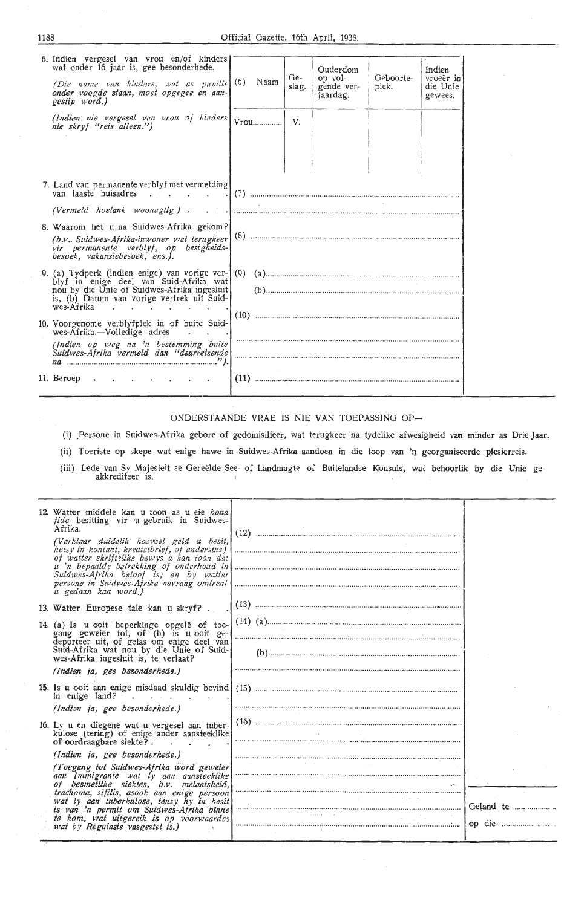| 6. Indien vergesel van vrou en/of kinders<br>wat onder 16 jaar is, gee besonderhede.<br>(Die name van kinders, wat as pupille)<br>onder voogde staan, moet opgegee en aan-<br>gestip word.) | (6) | Naam | Ge-<br>slag. | Ouderdom<br>op vol-<br>gende ver-<br>jaardag.                                                                                                                | Geboorte-<br>plek. | Indien<br>vroeër in<br>die Unie<br>gewees. |
|---------------------------------------------------------------------------------------------------------------------------------------------------------------------------------------------|-----|------|--------------|--------------------------------------------------------------------------------------------------------------------------------------------------------------|--------------------|--------------------------------------------|
| (Indien nie vergesel van vrou of kinders<br>nie skryf "reis alleen.")                                                                                                                       |     | Vrou | V.           |                                                                                                                                                              |                    |                                            |
| 7. Land van permanente verblyf met vermelding                                                                                                                                               |     |      |              | $\left\{ \cdot \cdot \cdot \cdot \cdot \cdot \right\}$ , and the motion of the motion compared and compared and compared and $\cdot \cdot \cdot \cdot \cdot$ |                    |                                            |
| (Vermeld hoelank woonagtig.).                                                                                                                                                               |     |      |              |                                                                                                                                                              |                    |                                            |
| 8. Waarom het u na Suidwes-Afrika gekom?<br>(b.v., Suidwes-Afrika-inwoner wat terugkeer)<br>vir permanente verblyf, op besigheids-<br>besoek, vakansiebesoek, ens.).                        |     |      |              |                                                                                                                                                              |                    |                                            |
| 9. (a) Tydperk (indien enige) van vorige ver-1(9)                                                                                                                                           |     |      |              |                                                                                                                                                              |                    |                                            |
| blyf in enige deel van Suid-Afrika wat<br>nou by die Unie of Suidwes-Afrika ingesluit<br>is, (b) Datum van vorige vertrek uit Suid-<br>wes-Afrika                                           |     |      |              |                                                                                                                                                              |                    |                                            |
| 10. Voorgenome verblyfplek in of buite Suid-<br>$wes-Afrika. - Volledige adres$                                                                                                             |     |      |              |                                                                                                                                                              |                    |                                            |
| (Indien op weg na 'n bestemming buite<br>Suidwes-Afrika vermeld dan "deurreisende                                                                                                           |     |      |              |                                                                                                                                                              |                    |                                            |
| 11. Beroep<br>$\mathbf{r} = \mathbf{r} \cdot \mathbf{r}$ , where $\mathbf{r} = \mathbf{r} \cdot \mathbf{r}$ , where $\mathbf{r} = \mathbf{r} \cdot \mathbf{r}$                              |     |      |              |                                                                                                                                                              |                    |                                            |

#### ONDERSTAANDE VRAE IS NIE VAN TOEPASSING OP-

(i) .Persone in Suidwes-Afrika gebore of gedomisilieer, wat terugkeer na tydelike afwesigheid van minder as Drie Jaar.

(ii) Toeriste op skepe wat enige hawe in Suidwes-Afrika aandoen in die loop van 'n georganiseerde plesierreis.

(iii) Lede van Sy Majesteit se Gereëlde See- of Landmagte of Buitelandse Konsuls, wat behoorlik by die Unie geakkrediteer is.

| 12. Watter middele kan u toon as u eie bona<br><i>fide</i> besitting vir u gebruik in Suidwes-<br>Afrika.<br>(Verklaar duidelik hoeveel geld u besit,<br>hetsy in kontant, kredietbrief, of andersins)<br>of watter skriftelike bewys u han toon dat<br>u 'n bepaalde betrekking of onderhoud in<br>Suidwes-Afrika beloof is; en by watter<br>persone in Suidwes-Afrika navraag omtrent |  |           |
|-----------------------------------------------------------------------------------------------------------------------------------------------------------------------------------------------------------------------------------------------------------------------------------------------------------------------------------------------------------------------------------------|--|-----------|
| u gedaan kan word)                                                                                                                                                                                                                                                                                                                                                                      |  |           |
| 13. Watter Europese tale kan u skryf?.<br>14. (a) Is u ooit beperkinge opgelê of toe-<br>gang geweier tot, of (b) is u ooit ge-                                                                                                                                                                                                                                                         |  |           |
| deporteer uit, of gelas om enige deel van<br>Suid-Afrika wat nou by die Unie of Suid-<br>wes-Afrika ingesluit is, te verlaat?                                                                                                                                                                                                                                                           |  |           |
| (Indien ja, gee besonderhede.)                                                                                                                                                                                                                                                                                                                                                          |  |           |
| in enige land?                                                                                                                                                                                                                                                                                                                                                                          |  |           |
| (Indien ja, gee besonderhede.)                                                                                                                                                                                                                                                                                                                                                          |  |           |
| 16. Ly u en diegene wat u vergesel aan tuber-<br>kulose (tering) of enige ander aansteeklike<br>of oordraagbare siekte?                                                                                                                                                                                                                                                                 |  |           |
| (Indien ja, gee besonderhede.)                                                                                                                                                                                                                                                                                                                                                          |  |           |
| (Toegang tot Suidwes-Afrika word geweier)<br>aan Immigrante wat ly aan aansteeklike<br>of besmetlike siektes, b.v. melaatsheid,                                                                                                                                                                                                                                                         |  |           |
| trachoma, sifilis, asook aan enige persoon<br>wat ly aan tuberkulose, tensy hy in besit<br>is van 'n permit om Suidwes-Afrika binne                                                                                                                                                                                                                                                     |  | Geland te |
| te kom, wat uitgereik is op voorwaardes<br>wat by Regulasie vasgestel is.)                                                                                                                                                                                                                                                                                                              |  |           |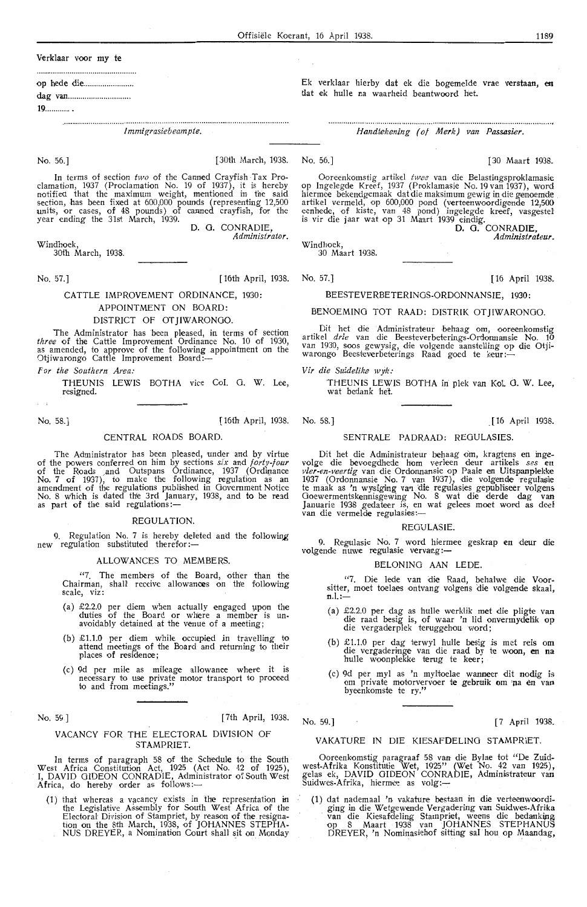Verklaar voor my te

op hede die ....................... .

dag van ............................. .

**19 ............ .** 

*lmmigrasiebeampte.* 

No. 56.] [30th March, 1938. No. 56.] [30 Maart 1938.

In terms of section *two* of the Canned Crayfish Tax Pro-<br>clamation, 1937 (Proclamation No. 19 of 1937), it is hereby notifiect that the maximum weight, mentioned in the said section, has been fixed at 600,000 pounds (representing 12,500<br>units, or cases, of 48 pounds) of canned crayfish, for the year ending the 31st March, 1939. D. 0. CONRADIE,

*Administrator.* 

Windhoek,

30th March, 1938.

No. 57.] [16th April, 1938.

## CATTLE IMPROVEMENT ORDINANCE, 1930:

APPOINTMENT ON BOARD:

## DISTRICT OF OTJIWARONGO.

The Administrator has been pleased, in terms of section *three* of the Cattle Improvement Ordinance No. 10 of 1930, as amended, to approve of the following appointment on the Otjiwarongo Cattle Improvement Board:-

For the Southern Area.

THEUNIS LEWIS BOTHA vice Col. 0. W. Lee, r-esigned.

No. 58.] [ 16th April, 1938. No. 58.] [ 16 April 1938. ]

#### CENTRAL ROADS BOARD.

The Administrator has been pleased, under and by virtue of the powers conferred on him by sections *six* and *forty-four* of the Roads and Outspans Ordinance, 1937 (Ordinance No. 7 of 1937), to make the following regulation as an amendment of the regulations published in Government Notice No. 8 which is dated the 3rd January, 1938, and to be read as part of the said regulations:-

#### **REGULATION**

9. Regulation No. 7 is hereby deleted and the following new regulation substituted therefor:-

#### ALLOWANCES TO MEMBERS

"7. The members of the Board, other than the Chairman, shall receive allowances on *tire* following scale, viz:

- (a) £2.2.0 per diem when actually engaged µpon the duties of the Board or where a member is un- avoidably detained at the venue of a meetrng;
- (b) £1.1.0 per diem while occupied in travelling to attend meetings of the Board and returning to their places of residenoe;
- (c) 9d per mile as mileage allowance where it is necessary to use private motor transport to proceed to and from meetings."

## No. 59.] [7th April, 1938. No. 59.] [7 April 1938.

#### VACANCY FOR THE ELECTORAL DIVISION OF STAMPRIET.

In terms of paragraph 58 of the Schedule to the South West Africa Constitution Act, 1925 (Act No. 42 of 1925), I, DAVID GIDEON CONRADIE, Administrator of South West Africa, do hereby order as follows:-

(1) that whereas a vacancy exists in the representation in the Legislative Assembly for South West Africa of the Electoral Division of Stampriet, by reason of the. resignation on the 8th March, 1938, of JOHANNES STEPHA-NUS DREYER, a Nomination Court shall sit on Monday

Ek verklaar hierby dat ek die bogemelde vrae verstaan, en dat ek hulle na waarheid beantwoord het.

*Handtekening ( of Merk) van Passasier.* 

Ooreenkomstig artikel *twee* van die Belastiingsproklamasie op Ingelegde Kreef, 1937 (Proklamasie No. 19 van 1937), word<br>hiermee bekendgemaak dat die maksimum gewig in die genoemde<br>artikel vermeld, op 600,000 pond (verteenwoordigende 12,500<br>eenhede, of kiste, van 48 pond) ingelegde is vir die jaar wat op 31 Maart 1939 eindi1g. **D.** 0. **CONRADIE,** 

30 Maart 1938.

No. 57.]

Windhoek,

## [16 April 1938.

*Administrateur.* 

## BEESTEVERBETERINGS-ORDONNANSIE, 1030

BENOEMING TOT RAAD: DISTRIK OTHWARONGO

Dit het die Administrateur behaag om, ooreenkomstig artikel *drie* van die Beesteverbeterings-Ordonnansie No. 10 van 1930, soos gewysig, die volgende aanstelling op die Otjiwarongo Beesteverbeterings Raad goed te keur:-

*Vir die Suidelike wyk:* 

THEUNIS LEWIS BOTHA in plek van Kof. 0. W. Lee, wat bedank het

#### SENTRALE PADRAAD: REGULASIES

Dit het die Administrateur behaag om, kragtens en ingevolge die bevoegdhede hom verleen deur artikels *ses* en *vier-en-veertig* van die Ordonnansie op Paaie en Uitspanplekke 1937 (Ordonnansie No. 7 van 1937), die volgende regulasie te maak as 'n wysiging van die regulasies gepubliseer volgens Goewermentskennisgewing No. 8 wat die derde dag van Januarie 1938 gedateer is, en wat gelees moet word as deel<br>van die vermelde regulasies :-

#### REGULASIE.

9. Regulasie No. 7 word hiermee geskrap en deur die volgende nuwe regulasie vervang:-

#### BELONING AAN LEDE

"7. Die lede van die Raad, behalwe die Voorsitter, moet toelaes ontvang volgens die volgende skaal,  $n.1$ :

- (a) £2.2.0 per dag as hulle werklik met die pligte van die raad besig is, of waar 'n lid onvermydelik op die vergaderplek teruggehou word;
- (b) £1.1.0 per dag terwyl hulle besig is met reis om die vergaderinge van die raad by te woon, en na hulle woonplekke terug te keer;
- (c) 9d per myl as 'n myltoelae wanneer dit nodig is om private motorvervoer te gebruik om 'na en van byeenkomste te ry."

VAKATURE IN DIE KIESAFDELINO STAMPRIET.

Ooreenkomstig paragraaf 58 van die Bylae tot "De Zuidwest-Afrika Konstitutie Wet, 1925" (Wet No. 42 van 1925 ), gelas ek, DAVID GIDEON CONRADIE, Administrateur van Suidwes-Afrika, hiermee as volg:-

**(1)** dat nademaal 'n vakature bestaan in die verteeinwoordiging in die Wetgewerude Vergadering van Suidwes-Afrika · van die Kiesafidelimg Stampriet, weens di,e bedankiing op 8 Maart 1938 van JOHANNES STEPHANUS DREYER, 'n Nominasiehof sitting sal hou op Maandag,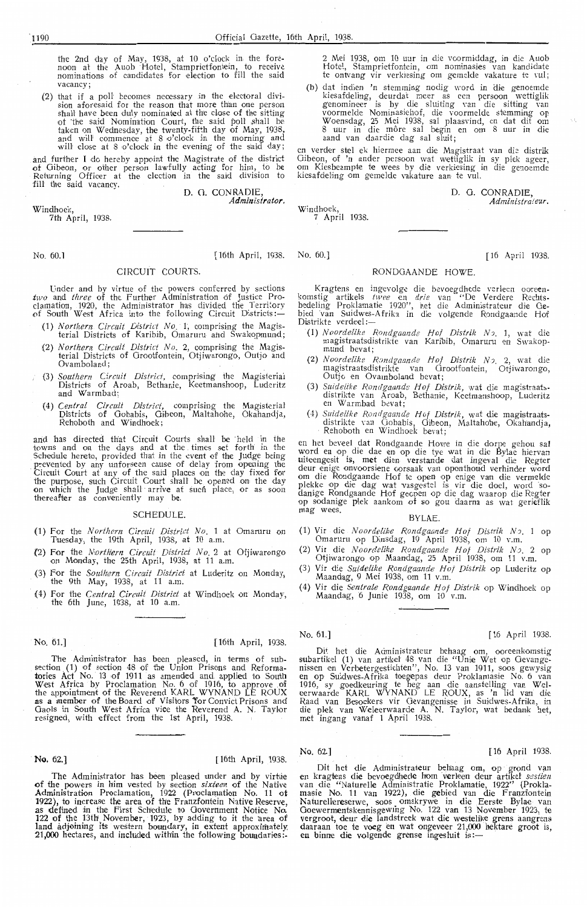the 2nd day of May, 1938, at 10 o'clock in the fore-<br>noon at the Auob Hotel, Stamprietfontein, to receive nomirnations of candidates for election to fill the said vacancy;

(2) that if a poll' becomes neoessary in, the electoral division aforesaid for the reason that more that more in stone<br>shall have been duly nominated at the close of the sitting of the said Nomination Court, the said poll shall be taken on Wednesday, the twenty-fifth day of May, 1938, and will commence at 8 o'clock in the morning and will close at 8 o'clock in the evening of the said day;

and further I do hereby appoint the Magistrate of the district of Oiheon, or other person lawful'ly acting for him, to be Returning Officer at the election in the said division to fill the said vacancy. D. G. CONRADIE

Windhoek,

7th April, 1938.

No. 60.l [16th April, 1938. No. 60.] [ 16 April 1938.

*Administrator,* 

#### CIRCUIT COURTS.

Under and by virtue of the powers conferred by sections two and *three* of the Further Administration of Justice Proclamation, 1920, the Administrator has divided the Territory<br>of South West Africa into the following Circuit Districts:—

- (1) *Northern Circuit District No.* 1, comprising the Magistricts of Karibib, Omaruru and Swakopmund;
- (2) Northern Circuit District No. 2, comprising the Magisterial Districts of Grootfontein, Otjiwarongo, Outjo and Ovamboland;
- 6 (3) Southern Circuit District, comprising the Magisterial Districts of Aroab, Bethanie, Keetmanshoop, Luderitz :and Warmbad ;
	- (4) Central Circuit *Central Circuit District,* comprising the Magisterial Districts of Oobabis, Oiheon, Maltahohe, Okahandja, Rehoboth and Windhoek;

and has directed that Circuit Courts shall be held in the fowns and on the days and at the times set forth in the Schedule hereto, provided that in the event of the Judge being . prevented by any unforseen cause of delay from opening the Circuit Court at any of the said places on the day fixed for the purpose, such Circuit Court shall be opened on the day on which the Judge shall arrive at such place, or as soon thereafter as conveniently may be.

#### **SCHEDULE**

- (1) For the *<sup>N</sup> orthern Cin~uit District No.* 1 at Omaruru on Tuesday, the 19th April, 1938, at 10 a.m.
- (2) For the *Northern Circuit District No.* 2 at Ofjiwarongo on Monday, the 25th April, 1938, at 11 a.m.
- (3) For the *Southern Circuit District* at Luderitz on Monday, the 9th May, 1938, at 11 a.m.
- (4) For the *Central Circuit District* at Windhoek on Monday, the 6th June, 1938, at 10 a.m.

No. 61.] [ 16th April, 1938.

The Administrator has been pleased, in terms of subsection (1) of section 48 of the Union Prisons and Reforma-<br>tories Act No. 13 of 1911 as amended and applied to South West Africa by Proclamation No. 6 of 1916, to approve of the appointment of the Reverend KARL WYNAND LE ROUX as a member of the Board of Visitors Tor Convict Prisons and Gaols in South West Africa vice the Reverend A. N. Taylor resigned, with effect from the 1st April, 1938.

#### · **No,** 62.] [16th April, 1938.

The Administrator has been pleased under and by virtue of the powers in him vested by section *sixteen* of the Native Administration Proclamation, 1922 (Proclamation No. 11 of 1922), to increase the area of thle franzfontein Native Reserve, as defined 'in the First Sch'edul,e to Government Notice No. 122 of the 13th November, 1923, by adding to it the area of land adjoining its western boundary, in extent approximately, **21,000** hectares, and included within the following boundaries:-

2 Mei 1938, om 10 uur in die voormiddag, in die Auob Hotel, Stampri,etfontein , om nominasies van kandidate te ontvarng vir verki-esing om gemelde vakature te ,·ul;

(b) dat indien 'n stemming nodig word in die genoemde<br>kiesafdeling, deurdat meer as een persoon wettiglik genomineer is by die sluiting van die sitting van die sitting van voormelde Nominasiehof, die voormelde stemming op Woensdag, 25 Mei 1938, sal plaasvind, en dat dit om<br>8 uur in die môre sal begin en om 8 uur in die<br>aand van daardie dag sal sluit;

en verder stel ek hiermee aan die Magistraat van die distrik Gibeon, of 'n ander persoon wat wettiglik in sy plek ageer, om Kiesbeampte te wees by die verkiesing in die genoemde<br>kiesafdeling om gemelde vakature aan te vul.

> D. G. CONRADIE, *Administrateur.*

Windhoek, 7 April 1938.

#### RONDGAANDE HOWE.

Kragtens en ingevolge die bevoegdhede verleen ooreen-<br>komstig artikels *twee* en *drie* van "De Verdere Rechtsbedeling Proklamatie 1920", het die Administrateur die Gebied van Suidwes-Afrika in die volgende Rondgaande Hof Distrikte verdeel:

- (1) *No ordelike Rondgrw.nd& Hof Distrik* <sup>N</sup> ,. 1, wat die magistraatsdistrikte van Karibib, Omaruru en Swakopmund bevat:
- (2) *Noordelike Rondgaande Hof Distrik No.* 2, wat die magistraatsdistrikte van Grootfontein, Otjiwarongo, Outjo •en Ovambolanid bevat;
- (3) Suidelike Rondgaande Hof Distrik, wat die magistraatsdistrikte van Aroab, Bethanie, Keetmanshoop, Luderitz<br>en Warmbad bevat;
- (4) *Suidelik e Rondgaande H of Distrik,* wat die magiistraatsdistrikte van Gobabis, Gibeon, Maltahohe, Okahandja, Rehoboth en Windhoek bevat;

en het beveel dat Rondgaande Howe in die dorpe gehou sal word en op die dae en op die tye wat in die Bylae hiervan uiteengesit is, met dien verstande dat ingeval die Regter deur enige onvoorsiene oorsaak van oponthoud verhinder word om die Rondgaande Hof te open op enige van die vermelde plekke op die dag wat vasgestel is vir die doel, word sodanige Rondgaande Hof geopen op die dag waarop die Regter op sodanige plek aankom of so gou daarna as wat gerieflik<br>mag wees mag wees. BYLAE.

- (1) Vir die *Noordelike Rondgaande Hof Distrik No.* 1 op Omaruru op Dinsdag, 19 April 1938, om 10 v.m.
- (2) Vir die *Noordelike Rondgaande Hof Distrik No*. 2 op Otjiwarongo op Maandag, 25 April 1938, om 11 v.m.
- (3) Vir die *Suidclike Rondgaande Hof Distrik* op Luderitz op Maandag, 9 M,ei 1938, om 11 v.m.
- (4) Vir die Sentrale Rondgaande Hof Distrik op Windhoek op Maandag,  $6$  Junie 1938, om  $10^{6}$  v.m.

No. 61.] [ 16 April 1938.

Dit het die Administrateur behaag om, ooreenkomstig subartikel (1) van artikel 48 van die "Unie Wet op Gevange-<br>nissen en Verbetergestichten", No. 13 van 1911, soos gewysig<br>en op Suidwes-Afrika toegepas deur Proklamasie No. 6 van<br>1916, sy goedkeuring te heg aan die aanstell eerwaarde KARL WYNAND LE ROUX, as 'n lid van die Raad van Besoekers vir Gevangenisse in Suidwes-Afrika, in die plek van Weleerwaarde A. N. Taylor, wat bedank het, met ingang vanaf 1 April 1938.

#### No. 62.] [ 16 April 1938

Dit het die Administrateur behaag om, op grond van en kragtens die bevoegdhede hom verleen deur artikel *sestien* van die "Naturelle Administratie Proklamatie, 1922" (Proklamasie No. 11 van 1922), die gebied van die Franzfontein Naturellereserwe, soos omskrywe in die Eerste Bylae van Goewermentskennisgewing No. 122 van 13 November 1923, te vergroot, deur die landstreek wat die westelike grens aangrens daaraan toe te voeg 'en wat ongeveer 21,000 hektare groot is, en binne die volgende grense ingesluit is:-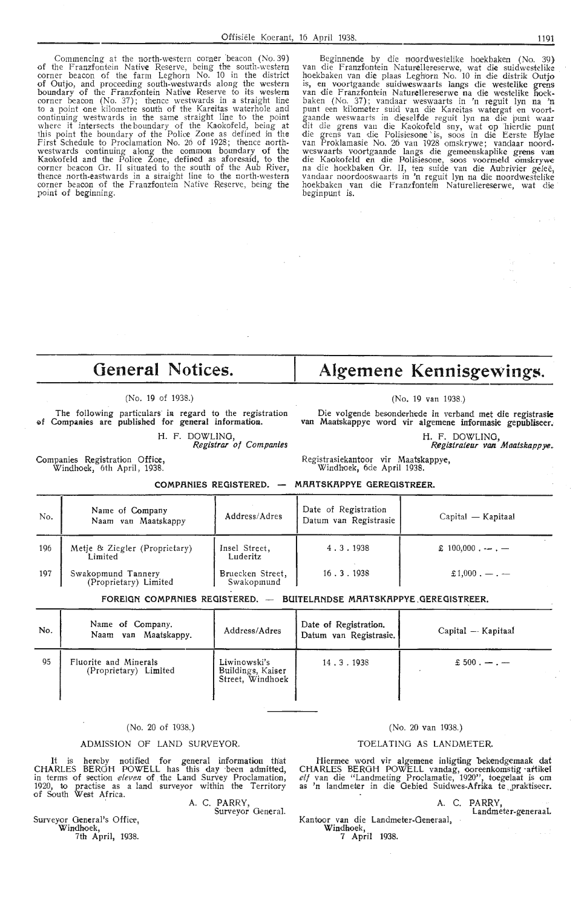Commencing at the north-western corner beacon (No. 39) of the Franzfontein Native Reserve, being the south-western<br>corner beacon of the farm Leghorn No. 10 in the district<br>of Outjo, and proceeding south-westwards along the western<br>boundary of the Franzfontein Native Reserve to oontinuing westwards in the same straight line to the point where it intersects the boundary of the Kaokofeld, being at this point the boundary of the Police Zone as defined in the First Schedule to Proclamation No. 26 of 1928; thence north-<br>westwards continuing along the common boundary of the<br>Kaokofeld and the Police Zone, defined as aforesaid, to the<br>corner beacon Gr. II situated to the south of t thence north-eastwards in a straight line to the north-western<br>corner beacon of the Franzfontein Native Reserve, being the point of beginning.

Beginnende by die noordwestelike hoekbaken (No. 39)<br>van die Franzfontein Naturellereserwe, wat die suidwestelike<br>hoekbaken van die plaas Leghorn No. 10 in die distrik Outjo<br>is, en voortgaande suidweswaarts langs die westel baken (No. 37); vandaar weswaarts in 'n reguit lyn na 'n<br>punt een kilometer suid van die Kareitas watergat en voortgaande weswaarts in dieselfde reguit lyn na die punt waar<br>dit die grens van die Kaokofeld sny, wat op 'hierdie punt die grens van die Polisiesone is, soos in die Eerste Bylae<br>van Proklamasie No. 26 van 1928 omskrywe; vandaar noord-<br>weswaarts voortgaande langs die gemeenskaplike grens van die Kaokofeld en die Polisiesone, soos voormeld omskrywe<br>na die hoekbaken Gr. II, ten suide van die Aubrivier geleë,<br>vandaar noordooswaarts in 'n reguit lyn na die noordwestelike<br>hoekbaken van die Franzfontein Naturelleres

# **General Notices.**

#### (No. 19 of 1938.)

#### The following particulars in regard to the registration of Companies are published for general information.

H. F. DOWLING, Registrar of Companies

# Algemene Kennisgewings.

#### (No. 19 van 1938.)

Die volgende besonderhede in verband met die registrasie van Maatskappye word vir algemene informasie gepubliseer.

> H. F. DOWLING, Registrateur van Maatskappye ..

Registrasiekantoor vir Maatskappye, Windhoek, 6de April 1938.

Companies Registration Office, Windhoek, 6th April, 1938.

**COMPRNIES REGISTERED. MRRTSKRPPYE GEREGISTREER.** 

| No. | Name of Company<br>Naam van Maatskappy      | Address/Adres                  | Date of Registration<br>Datum van Registrasie | $Capital - Kapitaal$                 |
|-----|---------------------------------------------|--------------------------------|-----------------------------------------------|--------------------------------------|
| 196 | Metje & Ziegler (Proprietary)<br>Limited    | Insel Street,<br>Luderitz      | 4.3.1938                                      | $\pounds$ 100,000 . $\qquad -$ . $-$ |
| 197 | Swakopmund Tannery<br>(Proprietary) Limited | Bruecken Street,<br>Swakopmund | 16.3.1938                                     | $£1,000. - . -$                      |

**FOREIGN COMPRNIES REGISTERED.** - **BUlTELRNDSE MRRTSKRPPYE .GEREGISTREER.** 

| No. | Name of Company.<br>Naam van Maatskappy.       | Address/Adres                                         | Date of Registration.<br>Datum van Registrasie. | Capital - Kapitaal |
|-----|------------------------------------------------|-------------------------------------------------------|-------------------------------------------------|--------------------|
| 95  | Fluorite and Minerals<br>(Proprietary) Limited | Liwinowski's<br>Buildings, Kaiser<br>Street, Windhoek | 14.3.1938                                       | $£ 500. - -$       |

#### (No. 20 of 1938.)

#### ADMISSION OF LAND SURVEYOR.

It is hereby notified for general information that CHARLES BERGH POWELL has this day ·been admitted, in terms of section *eleven* of the Land Survey Proclamation, 1920, to practise as a land surveyor within the Territory of South West Africa.

A. C. PARRY, Surveyor General.

Surveyor General's Office, Windhoek, 7th April, 1938.

#### (No. 20 van 1938.)

#### TOELATINO AS LANDMETER.

Hiermee word vir algemene inligting bekendgemaak dat CHARLES BERGH POWELL vandag, ooreenkomstig -attikel elf van die "Landmeting Proclamatie, 1920", toegelaat is om as 'n landmeter in die Gebied Suidwes-Afrika te praktiseer.

> A. C. PARRY, Landmeter-generaaI.

Kantoor van die Landmeter-Generaal, Windhoek, 7 April 1938.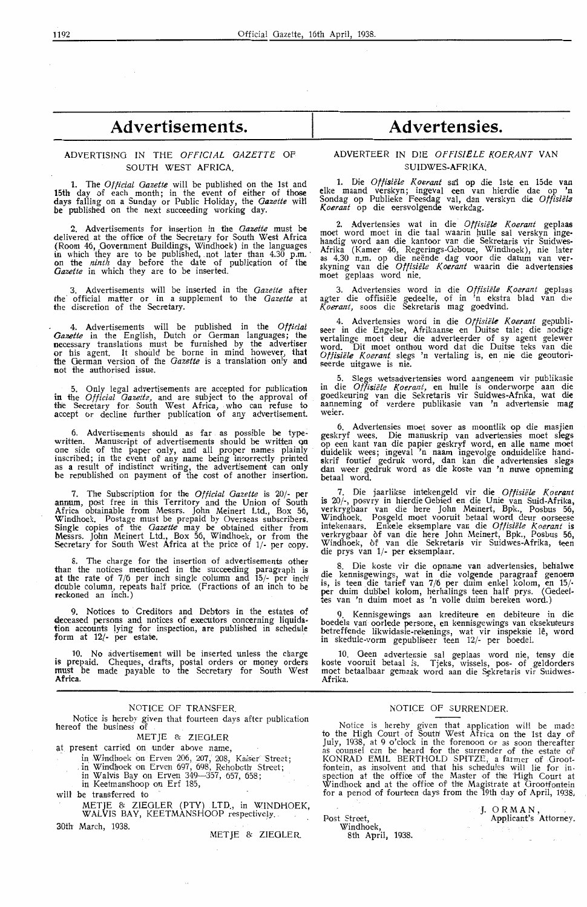# **Advertisements.**

## ADVERTISING IN THE *OFFICIAL GAZETTE* OF SOUTH WEST AFRICA.

1. The *Official Gazette* will be published on the 1st and 15th day of each month; in the event of either of those days falling on a Sunday or Public Holiday, the *Gazette* will be published on the next succeeding working day.

2. Advertisements for insertion in the *Gazette* must be delivered at the office of the Secretary for South West Africa (Room 46, \_Government Buildings, Windhoek) in the languages in which they are to be published, .not later than 4.30 p.m. · on the *ninth* day before the date of publ.ication of the *Oazette* in which they are to be inserted.

3. Advertisements will be inserted in the *Gazette* after the official matter or in a supplement to the *Gazette* at the discretion of the Secretary.

4. Advertisements will be published in the *Official*  Gazette in the English, Dutch or German languages; the necessary translations must be furnished by the advertiser or his agent. It should be borne in mind however, that the German version of the *Gazette* is a translation only and not the authorised issue.

5. Only legal advertisements are accepted for publication in the *Official Gazette*, and are subject to the approval of the Secretary for South West Africa, who can refuse to accept or decline further publication of any advertisement.

6. Advertisements should as far . as possible **be** type: written. Manuscript of advertisements should be written Qn one side of the paper only, and all proper names plainly inscribed; in the event of any name being incorrectly printed as **a** result of indistinct writing, the advertisement can only be republished on payment of the cost of another insertion.

7. The Subscription for the *Official Gazette* is 20/- per annum, post free in this Territory and the Union of South Africa obtainable from Messrs. John Meinert Ltd., Box 56, Windhoek. Postage must be prepaid by Overseas subscribers. Single copies of the *Gazette* may be obtained either from Messrs. Joh'n Meinert Ltd., Box 56, Windhoek, or from the Secretary for South West Africa at the price of 1/- per copy.

8. The charge for the insertion of advertisements other than the notices mentioned in the succeeding paragraph is at the rate of  $7/6$  per inch single column and  $15/7$  per inch double column, repeats half price. (Fractions of an inch to be reckoned an inch.)

9. Notices to Creditors and Debtors in the estates of deceased persons and notices of executors concerning liquidadeceased persons and notices of executors concerning liquida-<br>tion accounts lying for inspection, are published in schedule form at  $12$ - per estate.

10. No advertisement will be inserted unless the charge is prepaid. Cheques, drafts, postal orders or money orders must be made payable to the Secretary for South West **Africa.** 

#### NOTICE OF TRANSFER.

Notice is hereby given that fourteen days after publication hereof the business of

MET JE & ZIEGLER

at present carried on under above name,

- in Windhoek on Erven 206, 207, 208, Kaiser Street;
	- in Windhoek on Erven 697, 698, Rehoboth Street;
	- in Walvis Bay on Erven 349-357, 657, 658;
	- in Keetmanshoop on Erf 185,

will be transferred to

METJE & ZIEGLER (PTY) LTD., in WINDHOEK, WALVIS BAY, KEETMANSHOOP respective}y.

30th March, 1938.

METIE & ZIEGLER.

## **Advertensies.**

#### ADVERTEER IN DIE *OPflSIELE KOERANT* **VAN**  SUIDWES-AFRIKA.

1. Die *Offisiële Koerant* sai op die 1ste en 15de van elke maand verskyn; ingeval een van hierdie dae op 'n Sondag op Publieke Feesdag val, dan verskyn die *Offisie/2 K.oerant* op die eersvolgende werkdag.

2. Advertensies wat in die *Offisiele Koerant* geplaas moet word moet in die taal waarin hulle sal verskyn ingehandig word aan die kantoor van die Sekretaris vir Suidwes-Afrika (Kamer 46, Regerings-Geboue, Windhoek), nie later as 4.30 n.m. op die neende dag voor die datum van ver- skyning van die *Oftisiele Koerant* waarin die advertensies moet geplaas word nie.

3. Advertensies word in die *Offisiele Koerant* geplaas agter die offisiele gedeelte, of in 'n ekstra blad van die *l(oerant,* soos die Sekretaris mag goedvind.

4. Advertensies word in die *Offisiële Koerant* gepubli-<br>seer in die Engelse, Afrikaanse en Duitse tale; die nodige vertalinge moet deur die adverteerder of sy agent gelewer word. Dit moet onthou word dat die Duitse teks van die *Otfisiele Koeranl* slegs 'n vertaling is, en nie die geoutoriseerde uitgawe is nie.

5. Slegs wetsadvertensies word aangeneem vir publikasie in die *Offisiele Koerant,* en hulle is onderworpe aan die goedkeuring van die Sekretaris vir Suidwes-Afrika, wat **die**  aanneming of verdere publikasie van 'n advertensie mag weier.

6. Advertensies moet sover as moontlik op die masjien geskryf wees. Die manuskrip van advertensies moet slegs op een kant van die papier geskryf word, en alle name moet duidelik wees; ingeval 'n naam ingevolge onduidelike handskrif foutief gedruk word, dan kan die advertensies slegs dan weer gedruk word as die koste van 'n nuwe opneming betaal word.

7. Die jaarlikse intekengeld vir die *Offisiële Koerant* is 20/-, posvry in hierdie Gebied en die Unie van Suid-Afrika, verkrygbaar van die here John Meinert, Bpk., Posbus 56, Windhoek. Posgeld moet vooruit betaal word deur oorseese intekenaars. Enkele eksemplare van die *Offisiële Koerant* is verkrygbaar of van die here John Meinert, Bpk., Posbus 56, Windhoek, of van die Sekretaris vir Suidwes-Afrika, teen die prys van 1/- per eksemplaar.

8. Die koste vir die opname van advertensies, behalwe die kennisgewings, wat in die volgende paragraaf genoem is, is teen die tarief van 7/6 per duim enkel kolom, en 15/-<br>per duim dubbel kolom, herhalings teen half prys. (Gedeeltes van 'n duim moet as 'n volle duim bereken word.)

Kennisgewings aan krediteure en debiteure in die boedels vari oorlede persone, en kennisgewings van eksekuteurs betreffende likwidasie-rekenings, wat vir inspeksie le, word in skedule-vorm gepubliseer teen 12/- per boedel.

10. Geen advertensie sal geplaas word nie, tensy die koste vooruit betaal is. Tjeks, wissels, pos- of geldorders moet betaalbaar gemaak word aan die Sekretaris vir Suidwes<br>Afrika.

#### NOTICE OF SURRENDER.

Notice is hereby given that application will be made to the High Court of South West Africa on the 1st day of July, 1938, at 9 o'clock in the forenoon or as soon thereafter as eounsel can be heard for the surrender of the estate of KONRAD EMIL BERTHOLD SPITZE, a farmer of ,Grootfontein, as insolvent and that his schedules will lie for in-<br>spection at the office of the Master of the High Court at Windhoek and at the office of fhie Magistrate at Grootfontein for a period of fourteen days from the 19th day of April, 1938,

Post Street, Windhoek,

8th April, 1938.

J. ORMAN,<br>Applicant's Attorney.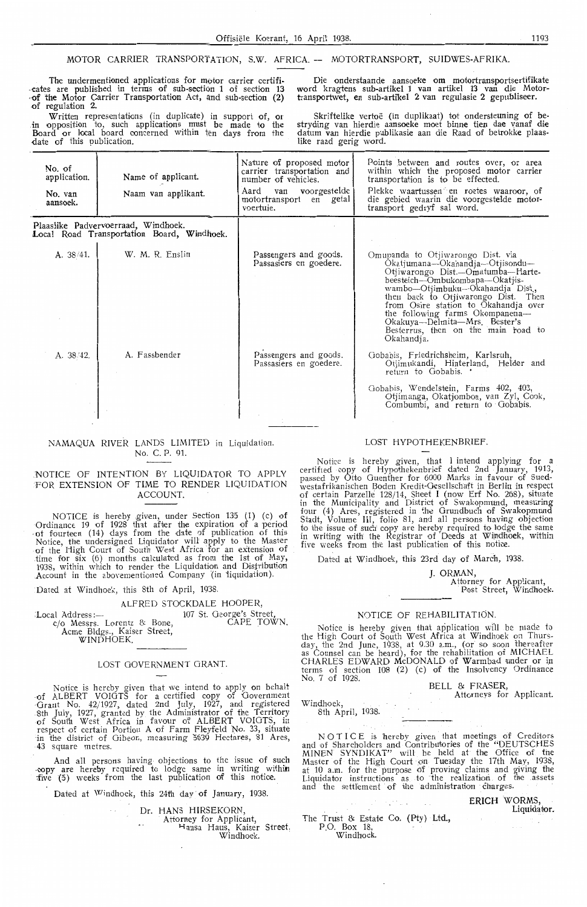#### MOTOR CARRIER TRANSPORTATION, S.W. AFRICA. -- MOTORTRANSPORT, SUIDWES-AFRIKA

The undermentioned applications for motor carrier certifi-<br>cates are published in terms of sub-section 1 of section 13<br>of the Motor Carrier Transportation Act, and sub-section (2)<br>of regulation 2.

Written representations (in duplicate) in support of, or in opposition to, such applications must be made to the Board or local board concerned within ten days from the -date of this publication.

Die onderstaande aansoeke om motortransportsertifikate word kragtens sub-artikel 1 van artikel 13 van die Motortransportwet, en sub-artikel 2 van regulasie 2 gepubliseer.

Skriftelike vertoë (in duplikaat) tot ondersteuning of bestryding van hierdie aansoeke moet binne tien dae vanaf die datum van hierdie publikasie aan die Raad of betrokke plaaslike raad gerig word.

| No. of<br>application.<br>No. van<br>aansoek. | Name of applicant.<br>Naam van applikant.                                         | Nature of proposed motor<br>carrier transportation and<br>number of vehicles.<br>Aard van voorgestelde<br>motortransport en getal<br>voertuie. | Points between and routes over, or area<br>within which the proposed motor carrier<br>transportation is to be effected.<br>Plekke waartussen en roetes waaroor, of<br>die gebied waarin die voorgestelde motor-<br>transport gedryf sal word.                                                                                                                                               |
|-----------------------------------------------|-----------------------------------------------------------------------------------|------------------------------------------------------------------------------------------------------------------------------------------------|---------------------------------------------------------------------------------------------------------------------------------------------------------------------------------------------------------------------------------------------------------------------------------------------------------------------------------------------------------------------------------------------|
|                                               | Plaaslike Padvervoerraad, Windhoek.<br>Local Road Transportation Board, Windhoek. |                                                                                                                                                |                                                                                                                                                                                                                                                                                                                                                                                             |
| A. 38/41.                                     | W. M. R. Enslin                                                                   | Passengers and goods.<br>Passasiers en goedere.                                                                                                | Omupanda to Otjiwarongo Dist. via<br>Okatjumana—Okahandja—Otjisondu—<br>Otiiwarongo Dist.—Omatumba—Harte-<br>beesteich---Ombukombapa---Okatjis-<br>wambo-Otjimbuku-Okahandja Dist.,<br>then back to Otjiwarongo Dist. Then<br>from Osire station to Okahandja over<br>the following farms Okompanena-<br>Okakuya—Delmita—Mrs. Bester's<br>Besterrus, then on the main road to<br>Okahandja. |
| A. 38/42.                                     | A. Fassbender                                                                     | Passengers and goods.<br>Passasiers en goedere.                                                                                                | Gobabis, Friedrichsheim, Karlsruh,<br>Otjimukandi, Hinterland, Helder and<br>return to Gobabis.                                                                                                                                                                                                                                                                                             |
|                                               |                                                                                   |                                                                                                                                                | Gobabis, Wendelstein, Farms 402, 403,<br>Otjimanga, Okatjomboa, van Zyl, Cook,<br>Combumbi, and return to Gobabis.                                                                                                                                                                                                                                                                          |

#### NAMAQUA RIVER LANDS LIMITED in Liquidation. No. C. P. 91.

#### NOTICE OF INTENTION BY LIQUIDATOR TO APPLY FOR EXTENSION OF TIME TO RENDER LIQUIDATION ACCOUNT.

NOTICE is hereby given, under Section 135 (1) (c) of Ordinance 19 of 1928 that after the expiration of a period of fourteen (14) days from the date of publication of this Notice, the undersigned Liquidator will apply to the Master of the High Court of South West Africa for an extension of time for six (6) months calculated as from the 1st of May, 1938, within which to render the Liquidation and Distribuiion Account in the abovementioned Company (in liquidation).

Dated at Windhoek, this 8th of April, 1938.

#### ALFRED STOCKDALE HOOPER,

Local Address:  $c$ /o Messrs. Lorentz & Bone Acme Bldgs., Kaiser Street, WINDHOEK. 107 St. George's Street, CAPE TOWN.

#### LOST GOVERNMENT GRANT.

Notice is hereby given that we intend to apply on behalt of ALBERT VOIGTS for a certified copy of Government ·Grant No. 42/1927, dated 2nd July, 1927, and registered 8th July, 1927, granted by the Administrator of the Territory of South West Africa in favour of ALBERT VOIGTS, in respect of certain Portion A of Farm Fleyfeld No. 33, situate in the district of Oibeon, measuring 5639 Hectares, 81 Ares, 43 square metres

And all persons having objections to the issue of such -copy are hereby required to lodge same in writing within ;five (5) weeks from the last publication of this notioe.

Dated at Windhoek, this 24th day of January, 1938

Dr. HANS HIRSEKORN

Attorney for Applicant,

Hansa Haus, Kaiser Street. Windhoek.

#### LOST HYPOTHEKENBRIEF

Notice is hereby given, that I intend applying for a certified copy of Hypothekenbrief dated 2nd January, 1913, passed by Otto Guenther for 6000 Marks in favour of Suedwestafrikanischen Boden Kredit-Gesellschaft in Berlin in respect of certain Parzelle 128/14, Sheet I (now Erf No. 268), situate in the Municipality and District of Swakopmund, measuring four (4) Ares, registered in the Grundbuch of Swakopmund Stadt, Volume III, folio 81, and all persons having objection to the issue of such copy are hereby required to lodge the same in writing with the Registrar of Deeds at Winclhoek, within five weeks from the last publication of this notice.

Dated at Windhoek, this 23rd day of March, 1938.

J. ORMAN,

Attorney for Applicant,<br>Post Street, Windhoek

NOTICE OF REHABILITATION.<br>Notice is hereby given that application will be made to Notice is hereby given that application will be made to<br>the High Court of South West Africa at Windhoek on Thurs-<br>day, the 2nd June, 1938, at 9.30 a.m., (or so soon thereafter<br>as Counsel can be heard), for the rehabilitati CHARLES EDWARD McDONALD of Warmbad under or in terms of section 108 (2) (c) of the Insolvency Ordinance No. 7 of 1928.

BELL & FRASER

Attorneys for Applicant

Windhoek, 8th April, 1938.

NOTICE is hereby given that meetings of Creditors and of Shareholders and Contributories of the "DEUTSCHES MINEN SYNDIKAT" will be held at the Office of the Master of the High Court on Tuesday the 17th May, 1938, at 10 a.m. for the purpose of proving claims and giving the Liquidator instructions as to the realization of the assets and the settlement of the administration charges.

| a series and the series of the series of the series of the series of the series of the series of the series of | ERICH WORMS,<br>Liquidator. |
|----------------------------------------------------------------------------------------------------------------|-----------------------------|
| The Trust & Estate Co. (Pty) Ltd.,<br>P.O. Box 18,<br>Windhoek.                                                |                             |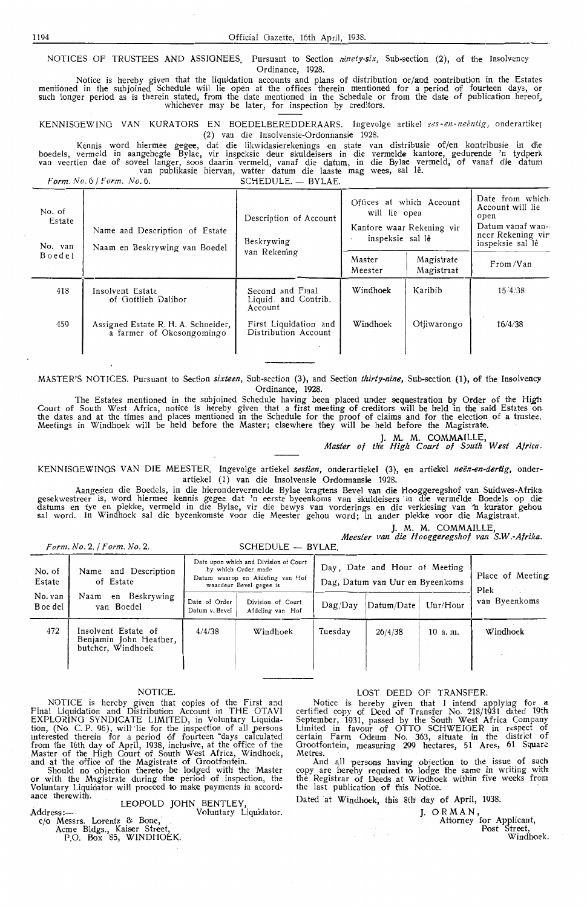NOTICES OF TRUSTEES **AND** ASSIGNEES. Pursuant to Section *ninety-six,* Sub-section (2), of the Insolvency Ordinance, 1928.

Notice is hereby given that the liquidation accounts and plans of distribution or/and contribution in the Estates mentioned in the subjoined Schedule will lie open at the offices therein mentioned for a period of fourteen days, or<br>such longer period as is therein stated, from the date mentioned in the Schedule or from the date of publ whichever may be later, for inspection by creditors.

KENNISGEWING VAN KURATORS EN BOEDELBEREDDERAARS. Ingevolge artikel *ses-en-neentig,* onderartike1 (2) van die Insolvensie-Ordonnansie 1928.

Kennis word hiermee gegee, dat die likwidasierekenings en state van distribusie of/en kontribusie in die boedels, vermeld in aangehegte Bylae, vir inspeksie deur skuldeisers in die vermelde kantore, gedurende 'n tydperk<br>van veertien dae of soveel langer, soos daarin vermeld, vanaf die datum, in die Bylae vermeld, of vanaf die

|                             | Form. No. 6 / Form. No. 6.                                       | SCHEDULE. - BYLAE.                                   |                                                                                            |                          |                                                                                                          |
|-----------------------------|------------------------------------------------------------------|------------------------------------------------------|--------------------------------------------------------------------------------------------|--------------------------|----------------------------------------------------------------------------------------------------------|
| No. of<br>Estate<br>No. van | Name and Description of Estate<br>Naam en Beskrywing van Boedel  | Description of Account<br>Beskrywing<br>van Rekening | Offices at which Account<br>will lie open<br>Kantore waar Rekening vir<br>inspeksie sal lê |                          | Date from which<br>Account will lie<br>open<br>Datum vanaf wan-<br>neer Rekening vir<br>inspeksie sal lê |
| Boedel                      |                                                                  |                                                      | Master<br>Meester                                                                          | Magistrate<br>Magistraat | From/Van                                                                                                 |
| 418                         | Insolvent Estate<br>of Gottlieb Dalibor                          | Second and Final<br>Liquid. and Contrib.<br>Account  | Windhoek                                                                                   | Karibib                  | 15/4/38                                                                                                  |
| 459                         | Assigned Estate R. H. A. Schneider,<br>a farmer of Okosongomingo | First Liquidation and<br>Distribution Account        | Windhoek                                                                                   | Otjiwarongo              | 16/4/38                                                                                                  |

MASTER'S NOTICES. Pursuant to Section *sixteen,* Sub-section (3), and Section *thirty-nine,* Sub-section (1), of the Insolvency Ordinance, 1928.

The Estates mentioned in the subjoined Schedule having been placed under sequestration by Order of the High Court of South West Africa, notice is hereby given that a first meeting of creditors will be held in the said Estates on<br>the dates and at the times and places mentioned in the Schedule for the proof of claims and for the e Meetings in Windhoek will be held before the Master; elsewhere they will be held before the Magistrate.

J. M. M. COMMAILLE,<br>- Master of the High Court of South West Africa

KENNISOEWINOS VAN DIE MEESTER. lngevolge artiekel *sestien,* onderartiekel (3), en artiekel *neen-en-dertig,* onderartiekel (1) van die Insolvensie Ordonnansie 1928.

Aangesien die Boedels, in die hierondervermelde Bylae kragtens Bevel van die Hooggeregshof van Suidwes-Afrika, gesekwestreer is, word hiermee kennis gegee dat 'n eerste byeenkoms van skuldeisers · in die vermelde Boedels op diedatums en tye en plekke, vermeld in die Bylae, vir die bewys van vorderings en die verkiesing van 'n kurator gehou sal word. In Windhoek sal die byeenkomste voor die Meester gehou word; in antler plek'ke voor die Magistraat.

J. **M. M.** COMMAILLE,

*Meester van* die *Hooggeregshof van S.W.-Afrika.* 

|  | Form. No. 2. / Form. No. 2. |
|--|-----------------------------|
|--|-----------------------------|

 $SCHFDULE - BYLAE$ 

| No. of<br>Estate    | Name and Description<br>of Estate                                  |                                 | Date upon which and Division of Court<br>by which Order made<br>Datum waarop en Afdeling van Hof<br>waardeur Bevel gegee is |                         | Day, Date and Hour of Meeting<br>Dag, Datum van Uur en Byeenkoms |          |                                 |  |
|---------------------|--------------------------------------------------------------------|---------------------------------|-----------------------------------------------------------------------------------------------------------------------------|-------------------------|------------------------------------------------------------------|----------|---------------------------------|--|
| No. van<br>B oe del | en Beskrywing<br>Naam<br>van Boedel                                | Date of Order<br>Datum v. Bevel | Division of Court<br>Afdeling van Hof                                                                                       | $\text{Dag}/\text{Dav}$ | Datum/Date                                                       | Uur/Hour | Plek<br>van Byeenkoms           |  |
| 472                 | Insolvent Estate of<br>Benjamin John Heather,<br>butcher, Windhoek | 4/4/38                          | Windhoek                                                                                                                    | Tuesday                 | 26/4/38                                                          | 10a.m.   | <b>State Street</b><br>Windhoek |  |

NOTICE is hereby given that copies of the First and Final Liquidation and Distribution Account in THE OTAVI EXPLORING SYNDICATE LIMITED, in Voluntary Liquidation, (No. C. P. 96), will lie for the inspection of all persons interested therein for a period of fourteen days calculated from the 16th day of April, 1938, inclusive, at the office of the Master of the High Court of South' West Africa, Windhoek, and at the office of the Magistrate of Grootfontein.

Should no objection thereto be lodged with the Master or with the Magistrate during the period of inspection, the Voluntary Liquidator will proceed to make payments in accord- ance therewitb.

LEOPOLD JOHN BENTLEY,<br>Voluntary Liquidator

 $\mathbf{Address}$ 

c/o \_Messrs. Lorentz & Bone,'

Acme Bldgs., Kaiser Street,<br>P.O. Box 85, WINDHOEK.

#### NOTICE. NOTICE SERVICE SERVICES AND LOST DEED OF TRANSFER.

Notice is hereby given that I intend applying for a certified copy of Deed of Transfer No. 218/1931 dated 19th September, 1931, passed by the South West Africa Company Limited in favour of OTTO SCHWEIGER in respect of certain Farm Odeum No. 363, situate in the district of Grootfontein, measuring 299 hectares, 51 Ares, 61 Square **Metres** 

And all persons having objection to the issue of such copy are hereby required to lodge the same in writing with the Registrar of Deeds at Windhoek within five weeks from the last publication of this Notice.

Dated at Windhoek, this 8th day of April, 1938.

J. ORMAN, Attorney for Applicant, Post Street, Windhoek.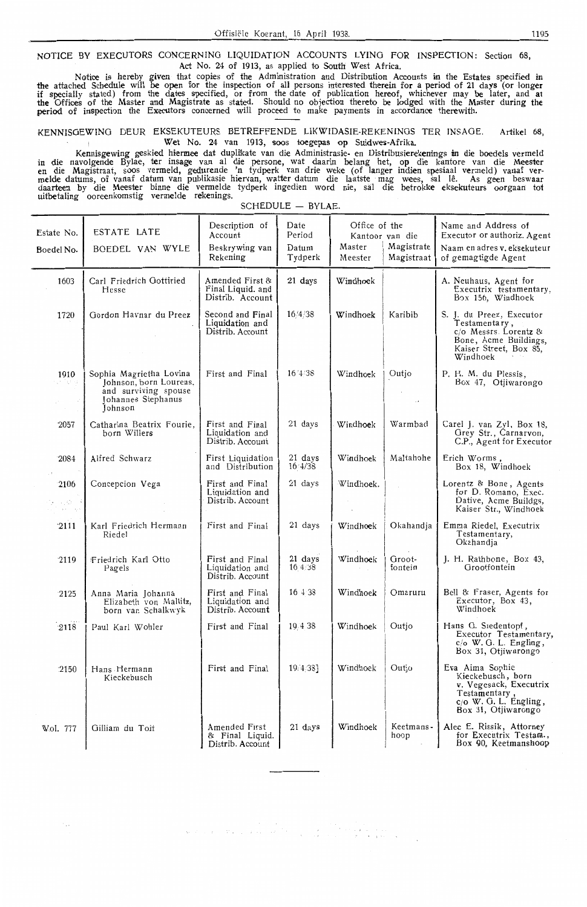NOTICE BY EXECUTORS CONCERNING LIQUIDATION ACCOUNTS LYING FOR INSPECTION: Section 68, Act No. 24 of 1913, as applied to South West Africa.

Notice is hereby given that copies of the Administration and Distribution Accounts in the Estates specified in<br>the attached Schedule will be open for the inspection of all persons interested therein for a period of 21 days if specially stated) from the dates specified, or from the date of publication hereof, whichever may be later, and at the Offices of the Master and Magistrate as stated. Should no objection thereto be lodged with the Master during the period of inspection the Executors conoerned will proceed to make payments in accordance therewith.

KENNISOEWINO DEUR EKSEKUTEURS BETREFFENDE LIKWIDASIE-REKENINOS TER INSAOE. Artikel 68, Wet No. 24 van 1913, soos toegepas op Suidwes-Afrika.

Kennisgewing geskied hiermee dat duplikate van die Administrasie- en Distribusierekenings in die boedels vermeld in die navolgende Bylae, ter insage van al die persone, wat daarin belang het, op die kantore van die Meester<br>en die Magistraat, soos vermeld, gedurende 'n tydperk van drie weke (of langer indien spesiaal vermeld) vanaf<br>me daarteen by die Meester binne die vermelde tydperk ingedien word nie, sal die betrokke eksekuteurs oorgaan tot uitbetaling ooreenkomstig vermelde rekenings.

| Estate No.                         | ESTATE LATE                                                                                                | Description of<br>Account<br>Beskrywing van              | Date<br>Period<br>Datum      | Office of the<br>Master | Kantoor van die<br>Magistrate | Name and Address of<br>Executor or authoriz. Agent<br>Naam en adres v. eksekuteur                                                        |
|------------------------------------|------------------------------------------------------------------------------------------------------------|----------------------------------------------------------|------------------------------|-------------------------|-------------------------------|------------------------------------------------------------------------------------------------------------------------------------------|
| Boedel No.                         | BOEDEL VAN WYLE                                                                                            | Rekening                                                 | Tydperk                      | Meester                 | Magistraat                    | of gemagtigde Agent                                                                                                                      |
| 1603                               | Carl Friedrich Gottfried<br>Hesse                                                                          | Amended First &<br>Final Liquid. and<br>Distrib. Account | 21 days                      | Windhoek                |                               | A. Neuhaus, Agent for<br>Executrix testamentary,<br>Box 156, Windhoek                                                                    |
| 1720                               | Gordon Havnar du Preez                                                                                     | Second and Final<br>Liquidation and<br>Distrib. Account  | 16/4/38                      | Windhoek                | Karibib                       | S. J. du Preez, Executor<br>.<br>Testamenta ry ,<br>c/o Messrs. Lorentz &<br>Bone, Acme Buildings,<br>Kaiser Street, Box 85,<br>Windhoek |
| 1910<br>ਵਾਲਿਆ                      | Sophia Magrietha Lovina<br>Johnson, born Lourens,<br>and surviving spouse<br>Johannes Stephanus<br>Johnson | First and Final                                          | 16'4'38                      | Windhoek                | Outjo<br>د .                  | P. H. M. du Plessis,<br>Box 47, Otjiwarongo                                                                                              |
| $-2057$                            | Catharina Beatrix Fourie,<br>born Willers                                                                  | First and Final<br>Liquidation and<br>Distrib. Account   | 21 days                      | Windhoek                | Warmbad                       | Carel J. van Zyl, Box 18,<br>Grey Str., Carnarvon,<br>C.P., Agent for Executor                                                           |
| 2084                               | Alfred Schwarz                                                                                             | First Liquidation<br>and Distribution                    | 21 days<br>$16 \frac{4}{38}$ | Windhoek                | Maltahohe                     | Erich Worms,<br>Box 18, Windhoek                                                                                                         |
| $-2106$<br>经无可做 医利<br>ru Torke ogs | Concepcion Vega                                                                                            | First and Final<br>Liquidation and<br>Distrib. Account   | 21 days                      | Windhoek.               |                               | Lorentz & Bone, Agents<br>for D. Romano, Exec.<br>Dative, Acme Buildgs,<br>Kaiser Str., Windhoek                                         |
| 2111                               | Karl Friedrich Hermann<br>Riedel                                                                           | First and Final                                          | 21 days                      | Windhoek                | Okahandja                     | Emma Riedel, Executrix<br>Testamentary,<br>Okahandja                                                                                     |
| $-2119$                            | Friedrich Karl Otto<br>Pagels                                                                              | First and Final<br>Liquidation and<br>Distrib. Account   | 21 days<br>$16 \t4.38$       | Windhoek                | Groot-<br>fontein             | J. H. Rathbone, Box 43,<br>Grootfontein                                                                                                  |
| 2125                               | Anna Maria Johanna<br>Elizabeth von Maltitz,<br>born van Schalkwyk                                         | First and Final<br>Liquidation and<br>Distrib. Account   | 16 4 38                      | Windhoek                | Omaruru                       | Bell & Fraser, Agents for<br>Executor, Box 43,<br>Windhoek                                                                               |
| $-2118$                            | Paul Karl Wohler                                                                                           | First and Final                                          | 19 4 38                      | Windhoek                | Outjo                         | Hans G. Siedentopf,<br>Executor Testamentary,<br>$c/\sigma$ W. G. L. Engling,<br>Box 31, Otjiwarongo                                     |
| 2150                               | Hans Hermann<br>Kieckebusch                                                                                | First and Final                                          | 19.4.38                      | Windhoek                | Outjo                         | Eva Aima Sophie<br>Kieckebusch, born<br>v. Vegesack, Executrix<br>Testamentary,<br>$c/O$ W. G. L. Engling,<br>Box 31, Otjiwarongo        |
| Vol. 777                           | Gilliam du Toit                                                                                            | Amended First<br>& Final Liquid.<br>Distrib. Account     | 21 days                      | Windhoek                | Keetmans-<br>hoop             | Alec E. Rissik, Attorney<br>for Executrix Testam.,<br>Box 90. Keetmanshoop                                                               |

 $SCHEDULE - BYLAE.$ 

 $\begin{split} \mathbb{E}_{\mathbf{z} \sim \mathbf{z} \sim \mathbf{z} \sim \mathbf{z} \sim \mathbf{z} \sim \mathbf{z} \sim \mathbf{z} \sim \mathbf{z} \sim \mathbf{z} \sim \mathbf{z} \sim \mathbf{z} \sim \mathbf{z} \sim \mathbf{z} \sim \mathbf{z} \sim \mathbf{z} \sim \mathbf{z} \sim \mathbf{z} \sim \mathbf{z} \sim \mathbf{z} \sim \mathbf{z} \sim \mathbf{z} \sim \mathbf{z} \sim \mathbf{z} \sim \mathbf{z} \sim \mathbf{z} \sim \mathbf{z} \sim \$  $\mathcal{V}(\mathcal{L})$  . The set of  $\sim$